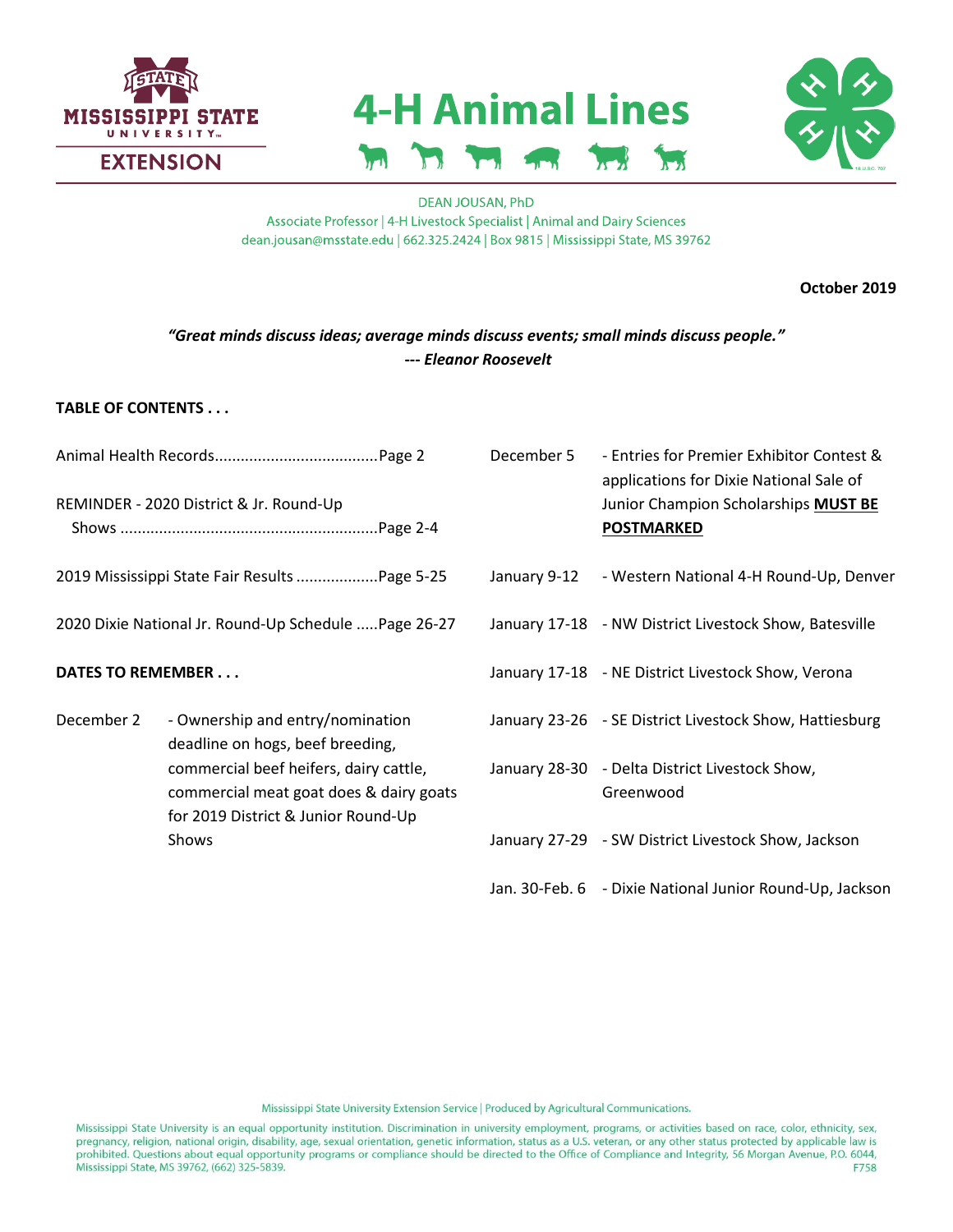

# **4-H Animal Lines**



#### **DEAN JOUSAN, PhD** Associate Professor | 4-H Livestock Specialist | Animal and Dairy Sciences dean.jousan@msstate.edu | 662.325.2424 | Box 9815 | Mississippi State, MS 39762

**October 2019**

# *"Great minds discuss ideas; average minds discuss events; small minds discuss people."* **---** *Eleanor Roosevelt*

### **TABLE OF CONTENTS . . .**

|                          | REMINDER - 2020 District & Jr. Round-Up                                                                                  | December 5   | - Entries for Premier Exhibitor Contest &<br>applications for Dixie National Sale of<br>Junior Champion Scholarships MUST BE<br><b>POSTMARKED</b> |
|--------------------------|--------------------------------------------------------------------------------------------------------------------------|--------------|---------------------------------------------------------------------------------------------------------------------------------------------------|
|                          | 2019 Mississippi State Fair Results Page 5-25                                                                            | January 9-12 | - Western National 4-H Round-Up, Denver                                                                                                           |
|                          | 2020 Dixie National Jr. Round-Up Schedule  Page 26-27                                                                    |              | January 17-18 - NW District Livestock Show, Batesville                                                                                            |
| <b>DATES TO REMEMBER</b> |                                                                                                                          |              | January 17-18 - NE District Livestock Show, Verona                                                                                                |
| December 2               | - Ownership and entry/nomination<br>deadline on hogs, beef breeding,                                                     |              | January 23-26 - SE District Livestock Show, Hattiesburg                                                                                           |
|                          | commercial beef heifers, dairy cattle,<br>commercial meat goat does & dairy goats<br>for 2019 District & Junior Round-Up |              | January 28-30 - Delta District Livestock Show,<br>Greenwood                                                                                       |
|                          | Shows                                                                                                                    |              | January 27-29 - SW District Livestock Show, Jackson                                                                                               |
|                          |                                                                                                                          |              | Jan. 30-Feb. 6 - Dixie National Junior Round-Up, Jackson                                                                                          |

Mississippi State University Extension Service | Produced by Agricultural Communications.

Mississippi State University is an equal opportunity institution. Discrimination in university employment, programs, or activities based on race, color, ethnicity, sex, pregnancy, religion, national origin, disability, age, sexual orientation, genetic information, status as a U.S. veteran, or any other status protected by applicable law is prohibited. Questions about equal opportunity programs or compliance should be directed to the Office of Compliance and Integrity, 56 Morgan Avenue, P.O. 6044, Mississippi State, MS 39762, (662) 325-5839. F758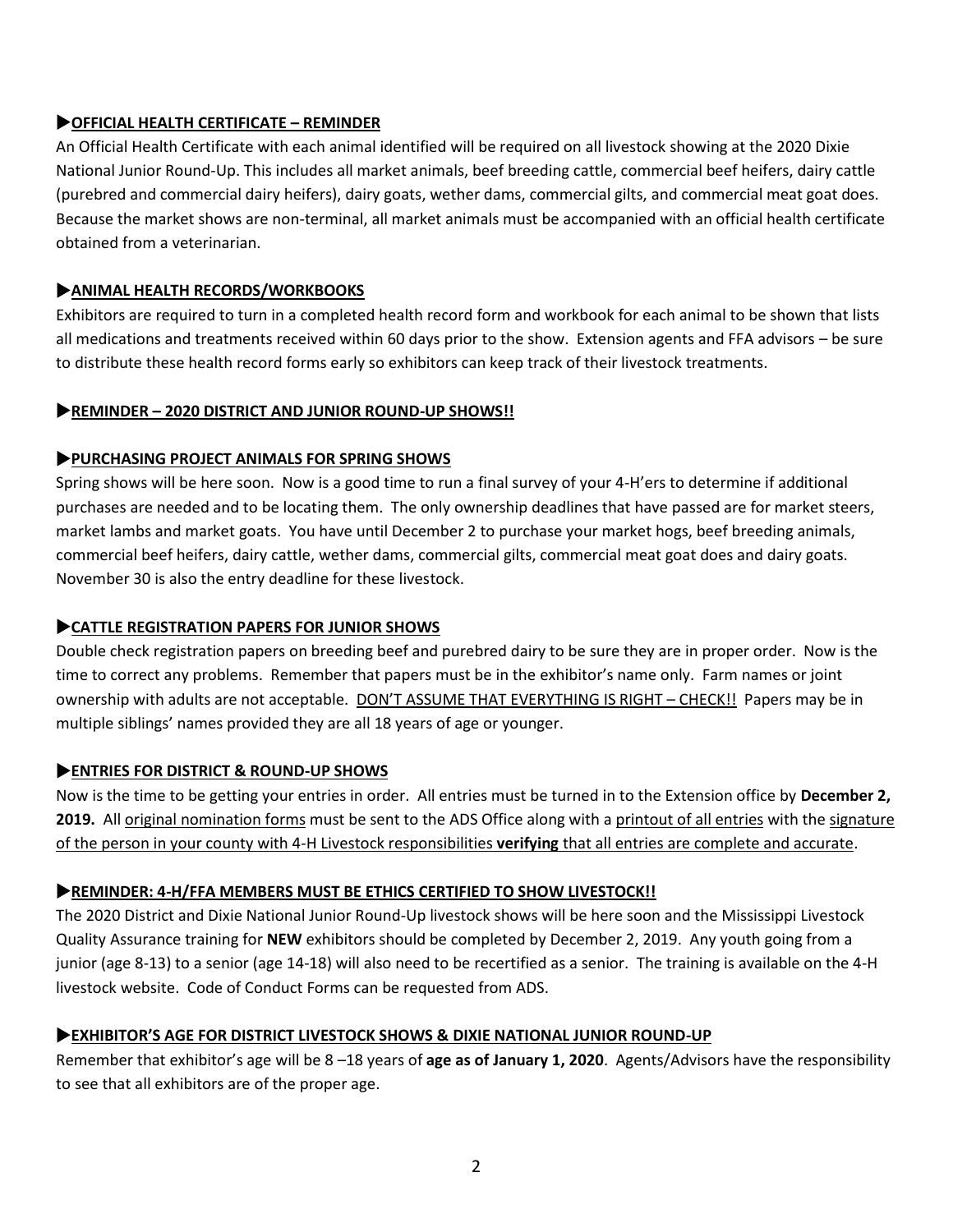# **OFFICIAL HEALTH CERTIFICATE – REMINDER**

An Official Health Certificate with each animal identified will be required on all livestock showing at the 2020 Dixie National Junior Round-Up. This includes all market animals, beef breeding cattle, commercial beef heifers, dairy cattle (purebred and commercial dairy heifers), dairy goats, wether dams, commercial gilts, and commercial meat goat does. Because the market shows are non-terminal, all market animals must be accompanied with an official health certificate obtained from a veterinarian.

# **ANIMAL HEALTH RECORDS/WORKBOOKS**

Exhibitors are required to turn in a completed health record form and workbook for each animal to be shown that lists all medications and treatments received within 60 days prior to the show. Extension agents and FFA advisors – be sure to distribute these health record forms early so exhibitors can keep track of their livestock treatments.

# **REMINDER – 2020 DISTRICT AND JUNIOR ROUND-UP SHOWS!!**

# **PURCHASING PROJECT ANIMALS FOR SPRING SHOWS**

Spring shows will be here soon. Now is a good time to run a final survey of your 4-H'ers to determine if additional purchases are needed and to be locating them. The only ownership deadlines that have passed are for market steers, market lambs and market goats. You have until December 2 to purchase your market hogs, beef breeding animals, commercial beef heifers, dairy cattle, wether dams, commercial gilts, commercial meat goat does and dairy goats. November 30 is also the entry deadline for these livestock.

# **CATTLE REGISTRATION PAPERS FOR JUNIOR SHOWS**

Double check registration papers on breeding beef and purebred dairy to be sure they are in proper order. Now is the time to correct any problems. Remember that papers must be in the exhibitor's name only. Farm names or joint ownership with adults are not acceptable. DON'T ASSUME THAT EVERYTHING IS RIGHT – CHECK!! Papers may be in multiple siblings' names provided they are all 18 years of age or younger.

# **ENTRIES FOR DISTRICT & ROUND-UP SHOWS**

Now is the time to be getting your entries in order. All entries must be turned in to the Extension office by **December 2,**  2019. All original nomination forms must be sent to the ADS Office along with a printout of all entries with the signature of the person in your county with 4-H Livestock responsibilities **verifying** that all entries are complete and accurate.

# **REMINDER: 4-H/FFA MEMBERS MUST BE ETHICS CERTIFIED TO SHOW LIVESTOCK!!**

The 2020 District and Dixie National Junior Round-Up livestock shows will be here soon and the Mississippi Livestock Quality Assurance training for **NEW** exhibitors should be completed by December 2, 2019. Any youth going from a junior (age 8-13) to a senior (age 14-18) will also need to be recertified as a senior. The training is available on the 4-H livestock website. Code of Conduct Forms can be requested from ADS.

# **EXHIBITOR'S AGE FOR DISTRICT LIVESTOCK SHOWS & DIXIE NATIONAL JUNIOR ROUND-UP**

Remember that exhibitor's age will be 8 –18 years of **age as of January 1, 2020**. Agents/Advisors have the responsibility to see that all exhibitors are of the proper age.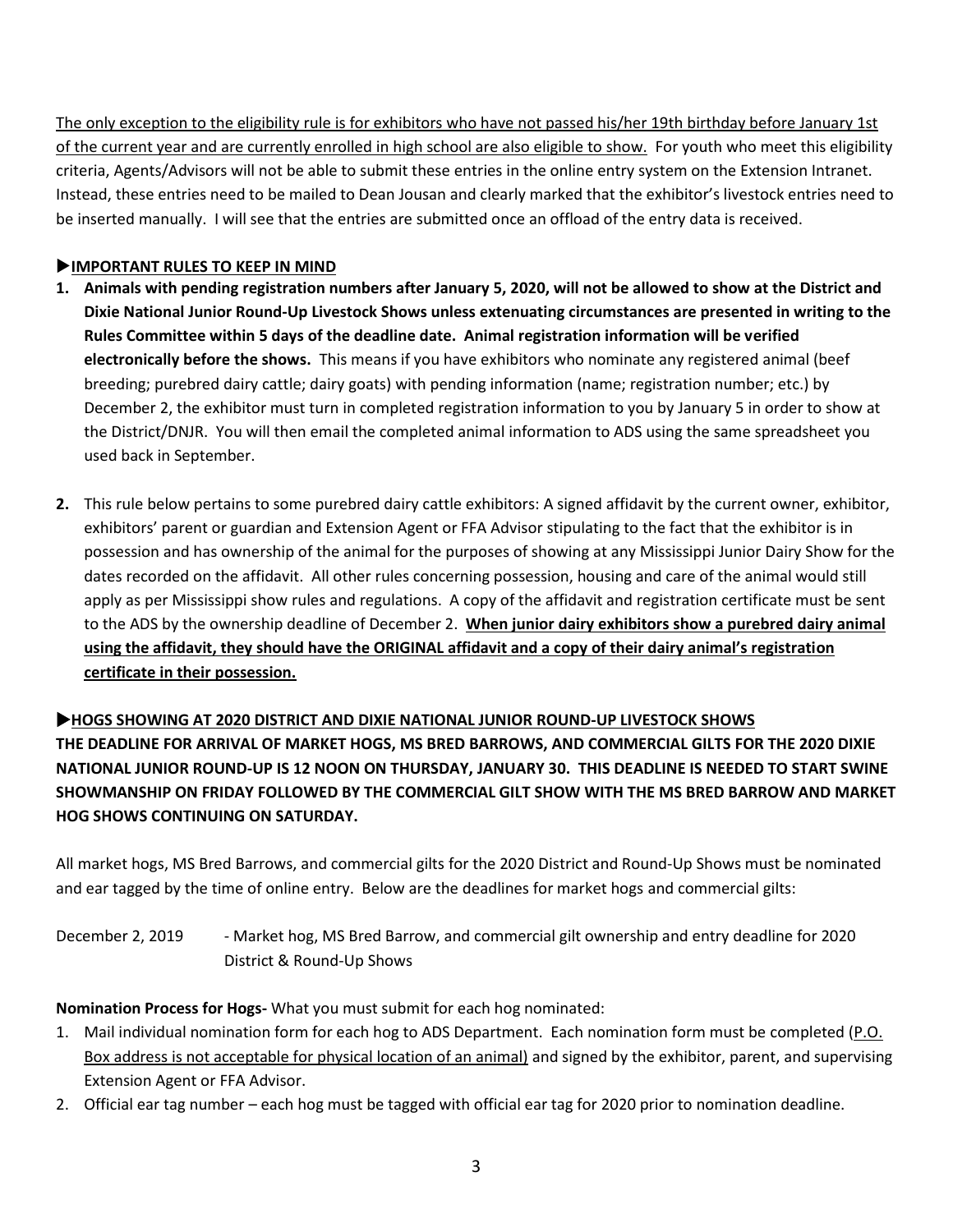The only exception to the eligibility rule is for exhibitors who have not passed his/her 19th birthday before January 1st of the current year and are currently enrolled in high school are also eligible to show. For youth who meet this eligibility criteria, Agents/Advisors will not be able to submit these entries in the online entry system on the Extension Intranet. Instead, these entries need to be mailed to Dean Jousan and clearly marked that the exhibitor's livestock entries need to be inserted manually. I will see that the entries are submitted once an offload of the entry data is received.

## **IMPORTANT RULES TO KEEP IN MIND**

- **1. Animals with pending registration numbers after January 5, 2020, will not be allowed to show at the District and Dixie National Junior Round-Up Livestock Shows unless extenuating circumstances are presented in writing to the Rules Committee within 5 days of the deadline date. Animal registration information will be verified electronically before the shows.** This means if you have exhibitors who nominate any registered animal (beef breeding; purebred dairy cattle; dairy goats) with pending information (name; registration number; etc.) by December 2, the exhibitor must turn in completed registration information to you by January 5 in order to show at the District/DNJR. You will then email the completed animal information to ADS using the same spreadsheet you used back in September.
- **2.** This rule below pertains to some purebred dairy cattle exhibitors: A signed affidavit by the current owner, exhibitor, exhibitors' parent or guardian and Extension Agent or FFA Advisor stipulating to the fact that the exhibitor is in possession and has ownership of the animal for the purposes of showing at any Mississippi Junior Dairy Show for the dates recorded on the affidavit. All other rules concerning possession, housing and care of the animal would still apply as per Mississippi show rules and regulations. A copy of the affidavit and registration certificate must be sent to the ADS by the ownership deadline of December 2. **When junior dairy exhibitors show a purebred dairy animal using the affidavit, they should have the ORIGINAL affidavit and a copy of their dairy animal's registration certificate in their possession.**

# **HOGS SHOWING AT 2020 DISTRICT AND DIXIE NATIONAL JUNIOR ROUND-UP LIVESTOCK SHOWS**

**THE DEADLINE FOR ARRIVAL OF MARKET HOGS, MS BRED BARROWS, AND COMMERCIAL GILTS FOR THE 2020 DIXIE NATIONAL JUNIOR ROUND-UP IS 12 NOON ON THURSDAY, JANUARY 30. THIS DEADLINE IS NEEDED TO START SWINE SHOWMANSHIP ON FRIDAY FOLLOWED BY THE COMMERCIAL GILT SHOW WITH THE MS BRED BARROW AND MARKET HOG SHOWS CONTINUING ON SATURDAY.**

All market hogs, MS Bred Barrows, and commercial gilts for the 2020 District and Round-Up Shows must be nominated and ear tagged by the time of online entry. Below are the deadlines for market hogs and commercial gilts:

December 2, 2019 - Market hog, MS Bred Barrow, and commercial gilt ownership and entry deadline for 2020 District & Round-Up Shows

**Nomination Process for Hogs-** What you must submit for each hog nominated:

- 1. Mail individual nomination form for each hog to ADS Department. Each nomination form must be completed (P.O. Box address is not acceptable for physical location of an animal) and signed by the exhibitor, parent, and supervising Extension Agent or FFA Advisor.
- 2. Official ear tag number each hog must be tagged with official ear tag for 2020 prior to nomination deadline.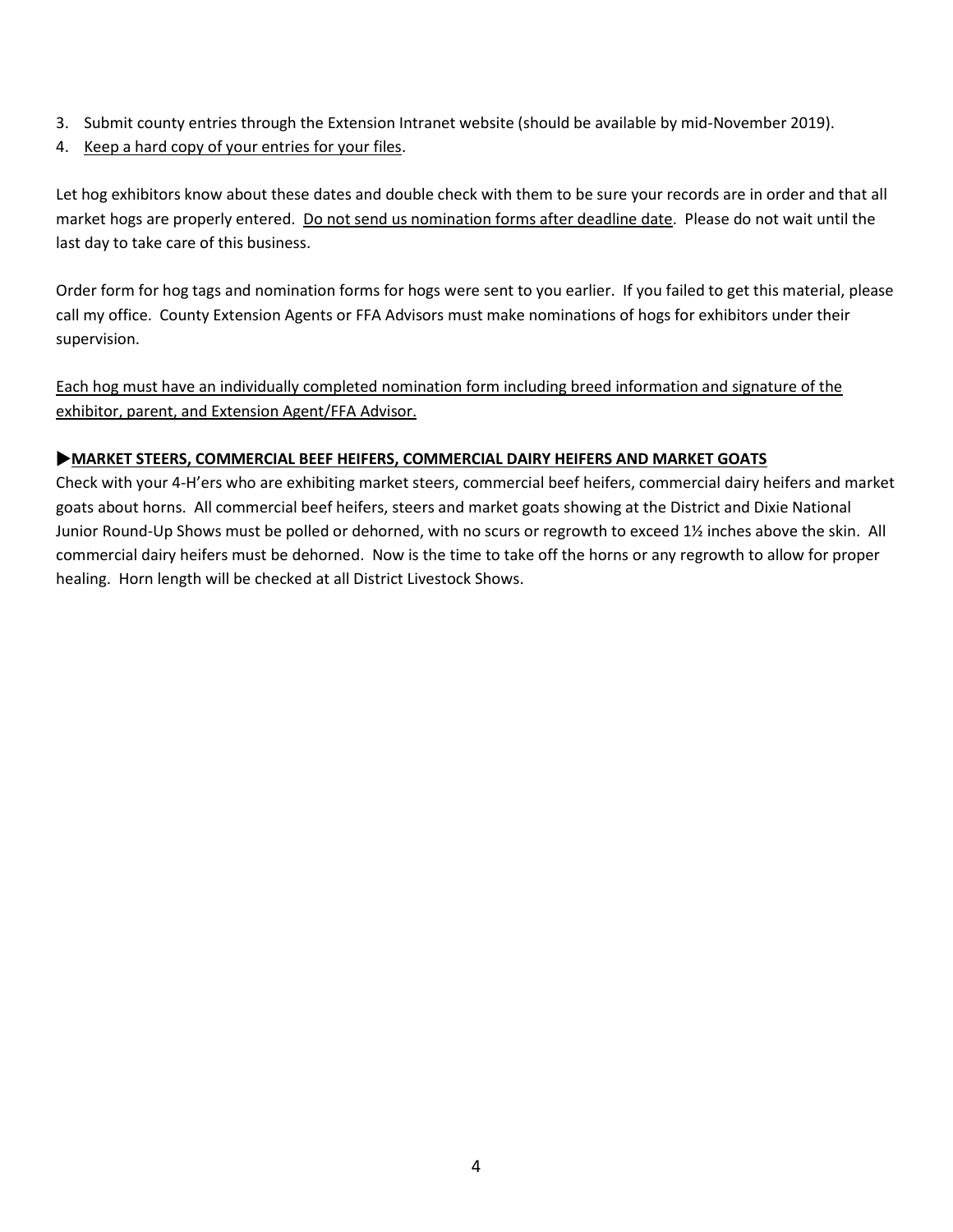- 3. Submit county entries through the Extension Intranet website (should be available by mid-November 2019).
- 4. Keep a hard copy of your entries for your files.

Let hog exhibitors know about these dates and double check with them to be sure your records are in order and that all market hogs are properly entered. Do not send us nomination forms after deadline date. Please do not wait until the last day to take care of this business.

Order form for hog tags and nomination forms for hogs were sent to you earlier. If you failed to get this material, please call my office. County Extension Agents or FFA Advisors must make nominations of hogs for exhibitors under their supervision.

Each hog must have an individually completed nomination form including breed information and signature of the exhibitor, parent, and Extension Agent/FFA Advisor.

## **MARKET STEERS, COMMERCIAL BEEF HEIFERS, COMMERCIAL DAIRY HEIFERS AND MARKET GOATS**

Check with your 4-H'ers who are exhibiting market steers, commercial beef heifers, commercial dairy heifers and market goats about horns. All commercial beef heifers, steers and market goats showing at the District and Dixie National Junior Round-Up Shows must be polled or dehorned, with no scurs or regrowth to exceed 1½ inches above the skin. All commercial dairy heifers must be dehorned. Now is the time to take off the horns or any regrowth to allow for proper healing. Horn length will be checked at all District Livestock Shows.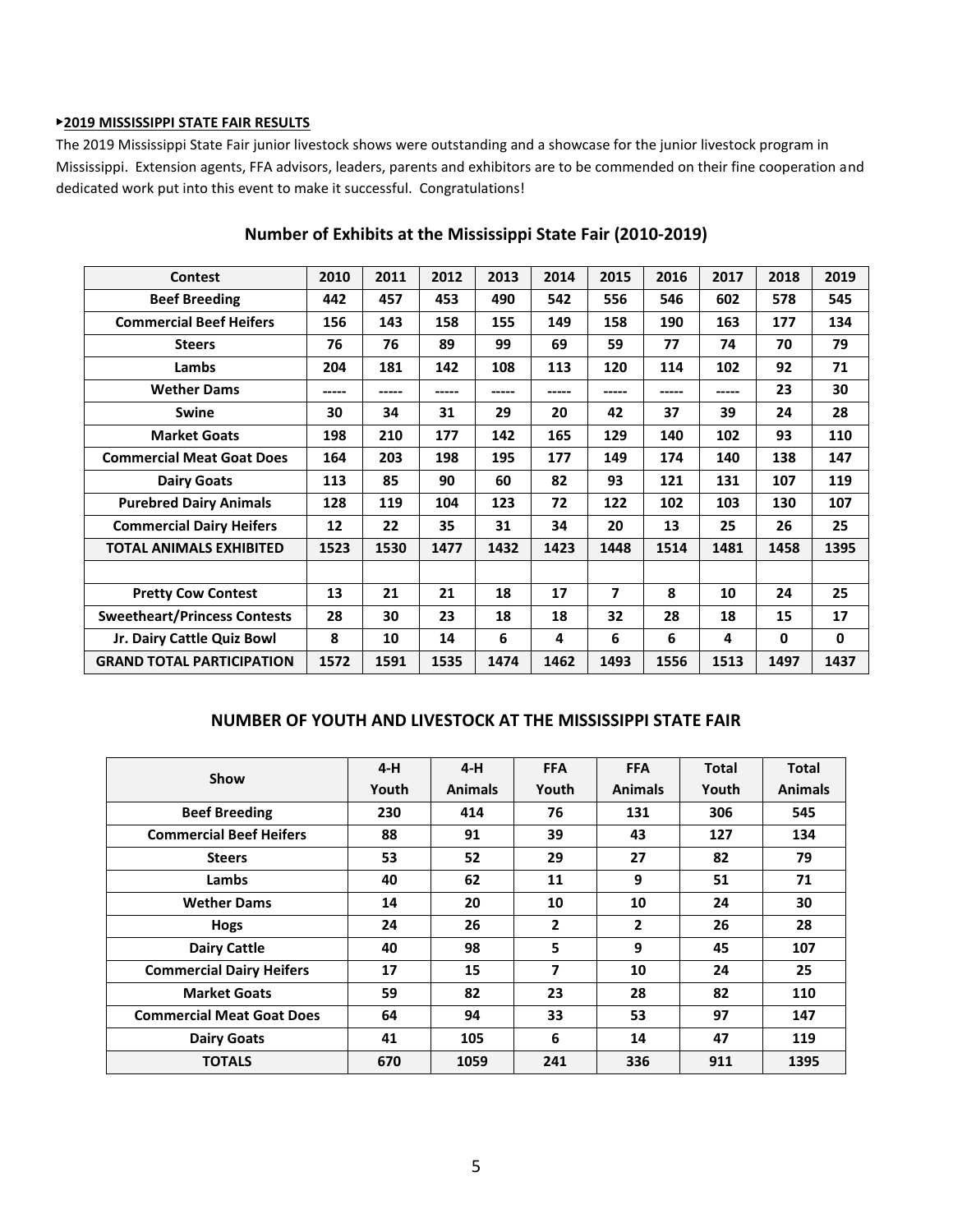#### ▶**2019 MISSISSIPPI STATE FAIR RESULTS**

The 2019 Mississippi State Fair junior livestock shows were outstanding and a showcase for the junior livestock program in Mississippi. Extension agents, FFA advisors, leaders, parents and exhibitors are to be commended on their fine cooperation and dedicated work put into this event to make it successful. Congratulations!

| <b>Contest</b>                      | 2010  | 2011 | 2012  | 2013  | 2014  | 2015  | 2016 | 2017  | 2018 | 2019         |
|-------------------------------------|-------|------|-------|-------|-------|-------|------|-------|------|--------------|
| <b>Beef Breeding</b>                | 442   | 457  | 453   | 490   | 542   | 556   | 546  | 602   | 578  | 545          |
| <b>Commercial Beef Heifers</b>      | 156   | 143  | 158   | 155   | 149   | 158   | 190  | 163   | 177  | 134          |
| <b>Steers</b>                       | 76    | 76   | 89    | 99    | 69    | 59    | 77   | 74    | 70   | 79           |
| Lambs                               | 204   | 181  | 142   | 108   | 113   | 120   | 114  | 102   | 92   | 71           |
| <b>Wether Dams</b>                  | ----- |      | ----- | ----- | ----- | ----- |      | ----- | 23   | 30           |
| <b>Swine</b>                        | 30    | 34   | 31    | 29    | 20    | 42    | 37   | 39    | 24   | 28           |
| <b>Market Goats</b>                 | 198   | 210  | 177   | 142   | 165   | 129   | 140  | 102   | 93   | 110          |
| <b>Commercial Meat Goat Does</b>    | 164   | 203  | 198   | 195   | 177   | 149   | 174  | 140   | 138  | 147          |
| <b>Dairy Goats</b>                  | 113   | 85   | 90    | 60    | 82    | 93    | 121  | 131   | 107  | 119          |
| <b>Purebred Dairy Animals</b>       | 128   | 119  | 104   | 123   | 72    | 122   | 102  | 103   | 130  | 107          |
| <b>Commercial Dairy Heifers</b>     | 12    | 22   | 35    | 31    | 34    | 20    | 13   | 25    | 26   | 25           |
| <b>TOTAL ANIMALS EXHIBITED</b>      | 1523  | 1530 | 1477  | 1432  | 1423  | 1448  | 1514 | 1481  | 1458 | 1395         |
|                                     |       |      |       |       |       |       |      |       |      |              |
| <b>Pretty Cow Contest</b>           | 13    | 21   | 21    | 18    | 17    | 7     | 8    | 10    | 24   | 25           |
| <b>Sweetheart/Princess Contests</b> | 28    | 30   | 23    | 18    | 18    | 32    | 28   | 18    | 15   | 17           |
| Jr. Dairy Cattle Quiz Bowl          | 8     | 10   | 14    | 6     | 4     | 6     | 6    | 4     | 0    | $\mathbf{0}$ |
| <b>GRAND TOTAL PARTICIPATION</b>    | 1572  | 1591 | 1535  | 1474  | 1462  | 1493  | 1556 | 1513  | 1497 | 1437         |

# **Number of Exhibits at the Mississippi State Fair (2010-2019)**

#### **NUMBER OF YOUTH AND LIVESTOCK AT THE MISSISSIPPI STATE FAIR**

| Show                             | $4-H$ | $4-H$          | <b>FFA</b> | <b>FFA</b>     | <b>Total</b> | <b>Total</b>   |
|----------------------------------|-------|----------------|------------|----------------|--------------|----------------|
|                                  | Youth | <b>Animals</b> | Youth      | <b>Animals</b> | Youth        | <b>Animals</b> |
| <b>Beef Breeding</b>             | 230   | 414            | 76         | 131            | 306          | 545            |
| <b>Commercial Beef Heifers</b>   | 88    | 91             | 39         | 43             | 127          | 134            |
| <b>Steers</b>                    | 53    | 52             | 29         | 27             | 82           | 79             |
| Lambs                            | 40    | 62             | 11         | 9              | 51           | 71             |
| <b>Wether Dams</b>               | 14    | 20             | 10         | 10             | 24           | 30             |
| Hogs                             | 24    | 26             | 2          | $\overline{2}$ | 26           | 28             |
| <b>Dairy Cattle</b>              | 40    | 98             | 5          | 9              | 45           | 107            |
| <b>Commercial Dairy Heifers</b>  | 17    | 15             | 7          | 10             | 24           | 25             |
| <b>Market Goats</b>              | 59    | 82             | 23         | 28             | 82           | 110            |
| <b>Commercial Meat Goat Does</b> | 64    | 94             | 33         | 53             | 97           | 147            |
| <b>Dairy Goats</b>               | 41    | 105            | 6          | 14             | 47           | 119            |
| <b>TOTALS</b>                    | 670   | 1059           | 241        | 336            | 911          | 1395           |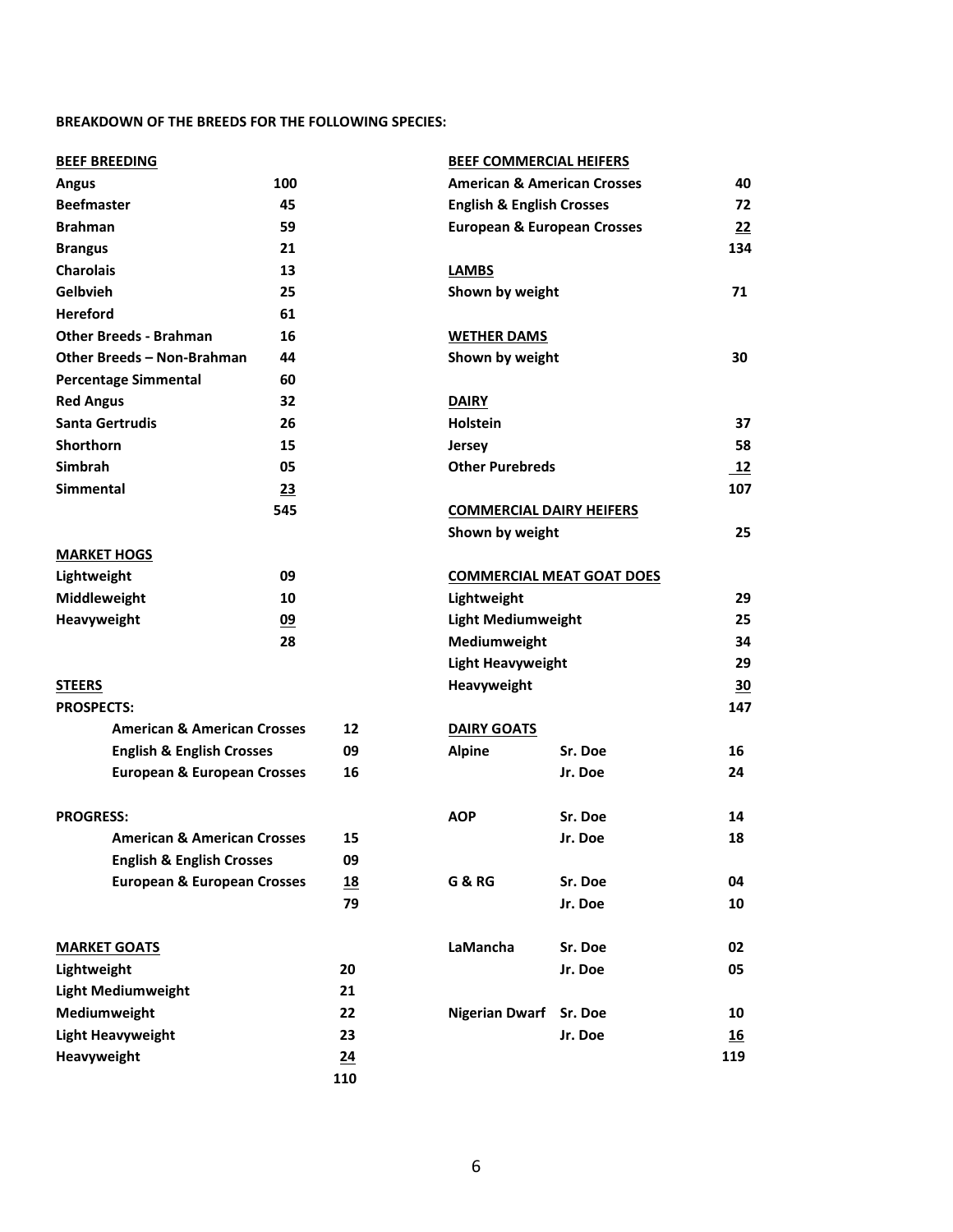## **BREAKDOWN OF THE BREEDS FOR THE FOLLOWING SPECIES:**

| <b>BEEF BREEDING</b>                   |     |     | <b>BEEF COMMERCIAL HEIFERS</b>         |                                        |           |
|----------------------------------------|-----|-----|----------------------------------------|----------------------------------------|-----------|
| 100<br><b>Angus</b>                    |     |     |                                        | <b>American &amp; American Crosses</b> |           |
| <b>Beefmaster</b>                      | 45  |     | <b>English &amp; English Crosses</b>   |                                        | 72        |
| <b>Brahman</b>                         | 59  |     | <b>European &amp; European Crosses</b> |                                        | 22        |
| <b>Brangus</b>                         | 21  |     |                                        |                                        | 134       |
| <b>Charolais</b>                       | 13  |     | <b>LAMBS</b>                           |                                        |           |
| Gelbvieh<br>25                         |     |     |                                        | Shown by weight                        |           |
| <b>Hereford</b>                        | 61  |     |                                        |                                        |           |
| <b>Other Breeds - Brahman</b>          | 16  |     | <b>WETHER DAMS</b>                     |                                        |           |
| Other Breeds - Non-Brahman             | 44  |     | Shown by weight                        |                                        | 30        |
| <b>Percentage Simmental</b>            | 60  |     |                                        |                                        |           |
| <b>Red Angus</b>                       | 32  |     | <b>DAIRY</b>                           |                                        |           |
| <b>Santa Gertrudis</b>                 | 26  |     | <b>Holstein</b>                        |                                        | 37        |
| <b>Shorthorn</b>                       | 15  |     | <b>Jersey</b>                          |                                        | 58        |
| <b>Simbrah</b>                         | 05  |     | <b>Other Purebreds</b>                 |                                        | 12        |
| <b>Simmental</b>                       | 23  |     |                                        |                                        | 107       |
|                                        | 545 |     | <b>COMMERCIAL DAIRY HEIFERS</b>        |                                        |           |
|                                        |     |     | Shown by weight                        |                                        | 25        |
| <b>MARKET HOGS</b>                     |     |     |                                        |                                        |           |
| Lightweight                            | 09  |     |                                        | <b>COMMERCIAL MEAT GOAT DOES</b>       |           |
| Middleweight                           | 10  |     | Lightweight                            |                                        | 29        |
| Heavyweight                            | 09  |     | <b>Light Mediumweight</b>              |                                        | 25        |
|                                        | 28  |     | Mediumweight                           |                                        | 34        |
|                                        |     |     | <b>Light Heavyweight</b>               |                                        | 29        |
| <b>STEERS</b>                          |     |     | Heavyweight                            |                                        | <u>30</u> |
| <b>PROSPECTS:</b>                      |     |     |                                        |                                        | 147       |
| <b>American &amp; American Crosses</b> |     | 12  | <b>DAIRY GOATS</b>                     |                                        |           |
| <b>English &amp; English Crosses</b>   |     | 09  | <b>Alpine</b>                          | Sr. Doe                                | 16        |
| <b>European &amp; European Crosses</b> |     | 16  |                                        | Jr. Doe                                | 24        |
|                                        |     |     |                                        |                                        |           |
| <b>PROGRESS:</b>                       |     |     | <b>AOP</b>                             | Sr. Doe                                | 14        |
| <b>American &amp; American Crosses</b> |     | 15  |                                        | Jr. Doe                                | 18        |
| <b>English &amp; English Crosses</b>   |     | 09  |                                        |                                        |           |
| <b>European &amp; European Crosses</b> |     | 18  | <b>G &amp; RG</b>                      | Sr. Doe                                | 04        |
|                                        |     | 79  |                                        | Jr. Doe                                | 10        |
| <b>MARKET GOATS</b>                    |     |     | LaMancha                               | Sr. Doe                                | 02        |
| Lightweight                            |     | 20  |                                        | Jr. Doe                                | 05        |
| <b>Light Mediumweight</b>              |     | 21  |                                        |                                        |           |
| Mediumweight                           |     | 22  | <b>Nigerian Dwarf</b>                  | Sr. Doe                                | 10        |
| <b>Light Heavyweight</b>               |     | 23  |                                        | Jr. Doe                                | <u>16</u> |
| Heavyweight                            |     | 24  |                                        |                                        | 119       |
|                                        |     | 110 |                                        |                                        |           |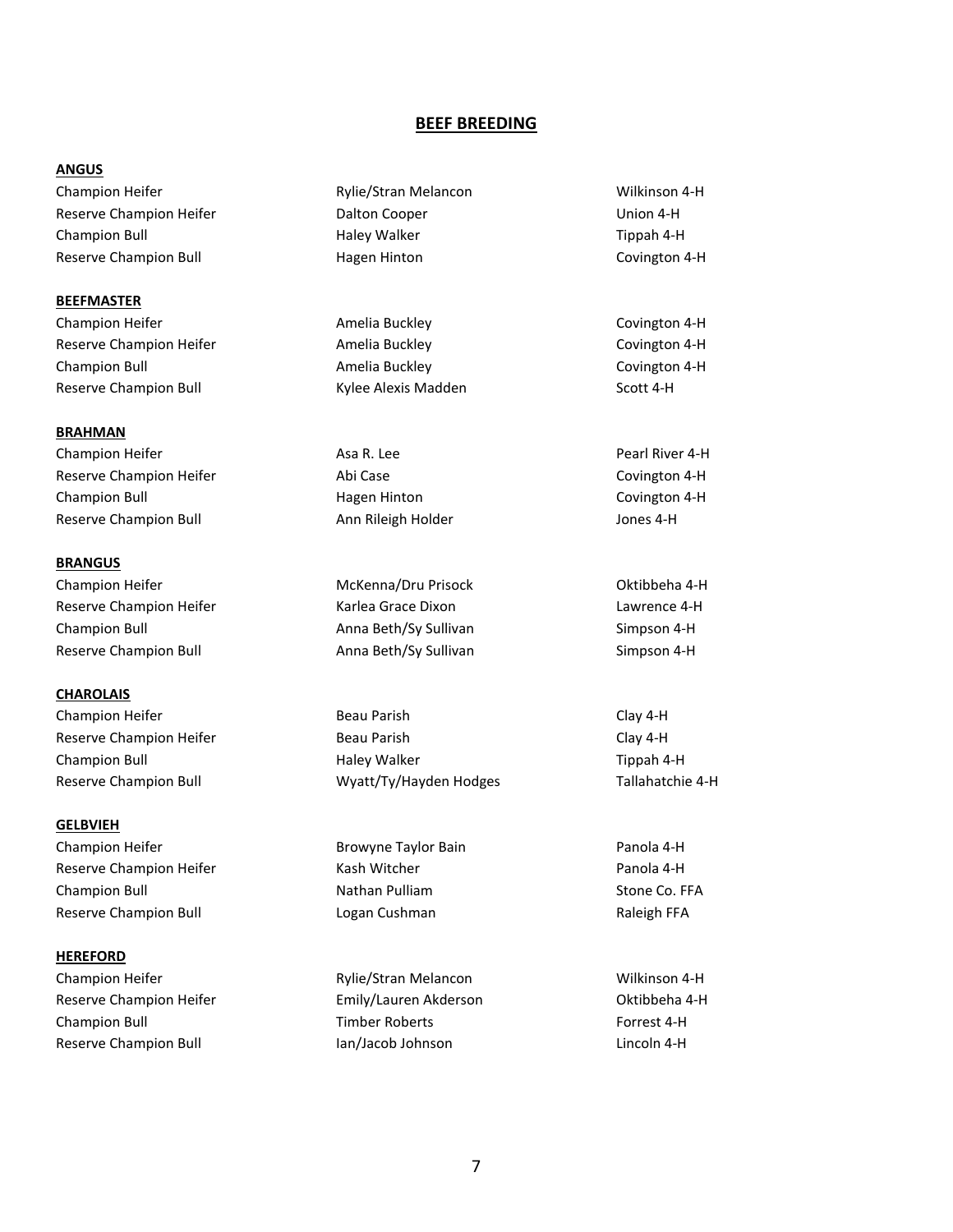#### **BEEF BREEDING**

#### **ANGUS**

Champion Heifer The Rylie/Stran Melancon Theorem Wilkinson 4-H Reserve Champion Heifer The Cooper Cooper The Champion 4-H Champion Bull **Exampion Bull Champion Bull** Haley Walker **Tippah 4-H** Reserve Champion Bull **Reserve Champion Bull** Hagen Hinton **Covington 4-H** 

**BEEFMASTER** Champion Heifer **Amelia Buckley Covington 4-H** Covington 4-H Reserve Champion Heifer **Amelia Buckley** Covington 4-H Champion Bull Amelia Buckley Covington 4-H Reserve Champion Bull **Kylee Alexis Madden** Scott 4-H

**BRAHMAN** Champion Heifer **Asa R. Lee Champion Heifer** Assessment Assessment Assessment Assessment Assessment Assessment Assessment Assessment Assessment Assessment Assessment Assessment Assessment Assessment Assessment Assessment A Reserve Champion Heifer The Covington 4-H Champion Bull Hagen Hinton Covington 4-H Reserve Champion Bull **Ann Rileigh Holder** Ann Rileigh Holder Ann Rileigh Holder Jones 4-H

**BRANGUS** Champion Heifer The McKenna/Dru Prisock The McKenna Champion Heifer New York: New York: New York: New York: New York: New York: New York: New York: New York: New York: New York: New York: New York: New York: New York: New Reserve Champion Heifer The Reserve Champion Heifer Champion Champion Champion Champion Champion Champion Champion Champion Bull Anna Beth/Sy Sullivan Simpson 4-H Reserve Champion Bull **Anna Beth/Sy Sullivan** Simpson 4-H

**CHAROLAIS** Champion Heifer **Beau Parish Clay 4-H** Clay 4-H

**GELBVIEH** Champion Heifer **Browyne Taylor Bain** Panola 4-H Reserve Champion Heifer **Reserve Champion Heifer Kash Witcher** *Kash Witcher* **Panola 4-H** Champion Bull **Nathan Pulliam** Champion Bull Stone Co. FFA Reserve Champion Bull **Reserve Champion Bull** Logan Cushman **Raleigh FFA** 

#### **HEREFORD**

Champion Heifer Rylie/Stran Melancon Wilkinson 4-H Reserve Champion Heifer **Emily/Lauren Akderson** Festival A-H Champion Bull Timber Roberts Forrest 4-H Reserve Champion Bull **Ian/Jacob Johnson** Lincoln 4-H

Reserve Champion Heifer **Beau Parish Clay 4-H** Clay 4-H Champion Bull Haley Walker Tippah 4-H Reserve Champion Bull Wyatt/Ty/Hayden Hodges Tallahatchie 4-H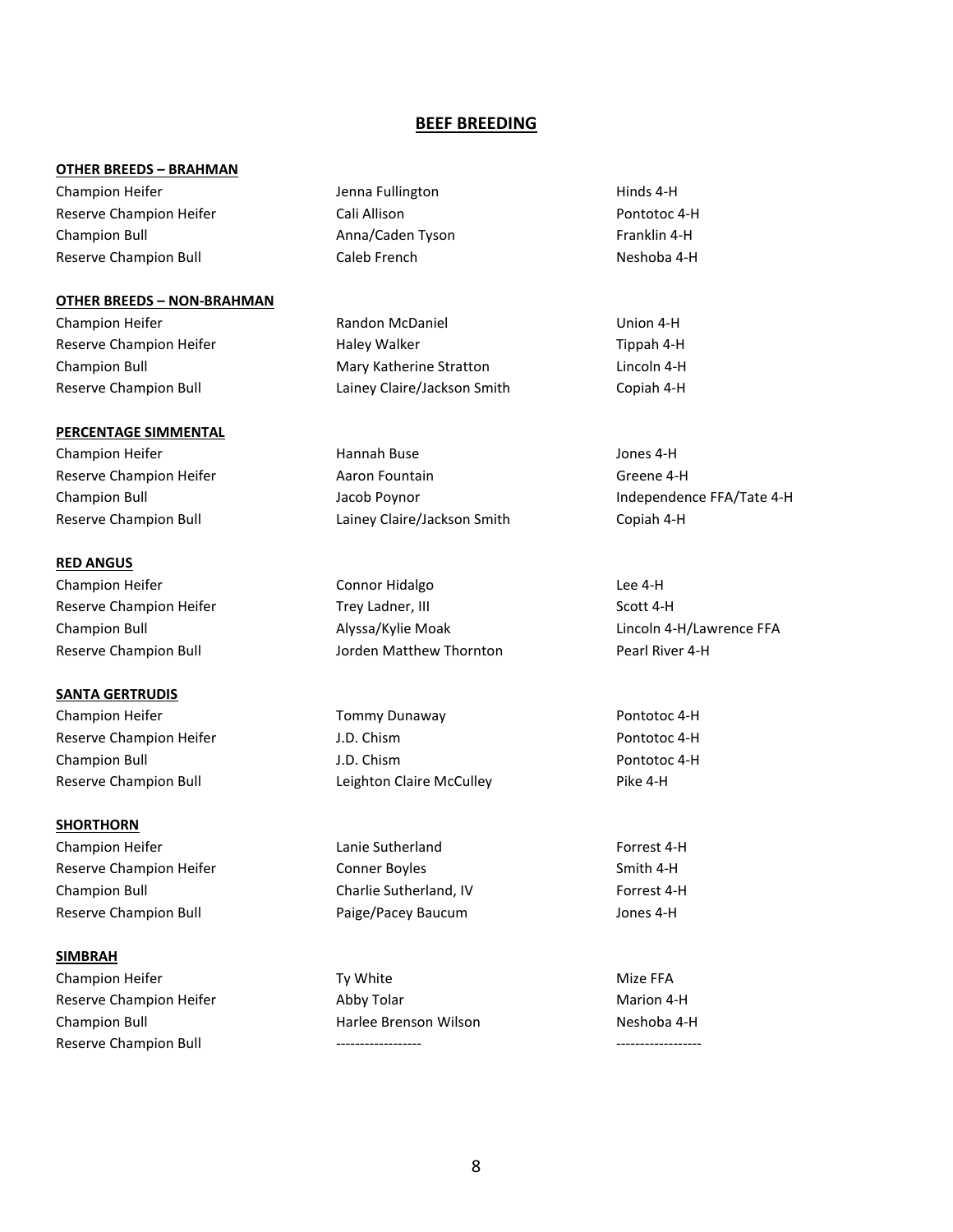#### **BEEF BREEDING**

#### **OTHER BREEDS – BRAHMAN**

Champion Heifer The State of Lenna Fullington Theorem Hinds 4-H Reserve Champion Heifer **Cali Allison** Cali Allison **Pontotoc 4-H** Champion Bull **Anna/Caden Tyson** Franklin 4-H Reserve Champion Bull **Caleb French** Caleb French Neshoba 4-H

#### **OTHER BREEDS – NON-BRAHMAN**

#### **PERCENTAGE SIMMENTAL**

#### **RED ANGUS**

Champion Heifer **Connor Hidalgo** Lee 4-H

**SANTA GERTRUDIS** Champion Heifer **Tommy Dunaway Pontotoc 4-H** Pontotoc 4-H Reserve Champion Heifer The Music Control of the J.D. Chism Champion Heifer Pontotoc 4-H Champion Bull J.D. Chism Pontotoc 4-H Reserve Champion Bull **Reserve Champion Bull Leighton Claire McCulley** Pike 4-H

**SHORTHORN** Champion Heifer Lanie Sutherland Forrest 4-H Reserve Champion Heifer The Conner Boyles Conner Boyles Conner Smith 4-H Champion Bull Charlie Sutherland, IV Forrest 4-H Reserve Champion Bull **Reserve Champion Bull** Paige/Pacey Baucum **Matter** Jones 4-H

#### **SIMBRAH**

Champion Heifer **Ty White** Ty White Mize FFA Reserve Champion Heifer **Abby Tolar** Marion 4-H Champion Bull **Champion Bull** Harlee Brenson Wilson Neshoba 4-H Reserve Champion Bull

Champion Heifer **Randon McDaniel Champion Heifer** Union 4-H Reserve Champion Heifer **Haley Walker** Haley Walker Tippah 4-H Champion Bull **Champion Bull** Mary Katherine Stratton **Lincoln 4-H** Reserve Champion Bull Lainey Claire/Jackson Smith Copiah 4-H

Champion Heifer **Hannah Buse** Hannah Buse **Hannah Buse** Jones 4-H Reserve Champion Heifer **Aaron Fountain** Aaron Fountain Greene 4-H Reserve Champion Bull Lainey Claire/Jackson Smith Copiah 4-H

Reserve Champion Heifer Trey Ladner, III Scott 4-H Champion Bull Alyssa/Kylie Moak Lincoln 4-H/Lawrence FFA Reserve Champion Bull **No. 1988** Jorden Matthew Thornton **Pearl River 4-H** 

Champion Bull Jacob Poynor Independence FFA/Tate 4-H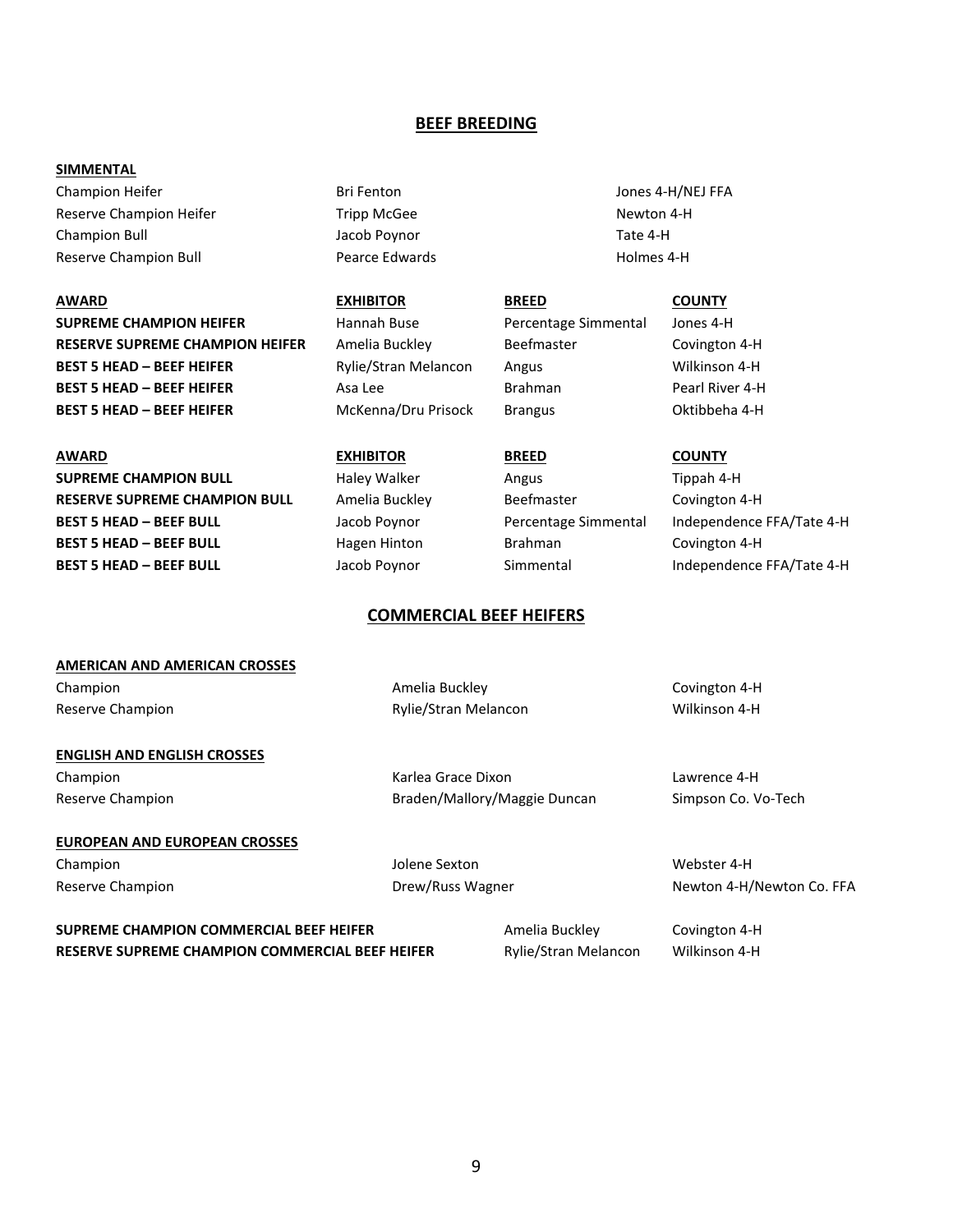#### **BEEF BREEDING**

#### **SIMMENTAL**

Champion Heifer **Bri Fenton** Bri Fenton **Bri Fenton** Jones 4-H/NEJ FFA Reserve Champion Heifer Tripp McGee Newton 4-H Champion Bull Jacob Poynor Tate 4-H Reserve Champion Bull **Reserve Champion Bull** Pearce Edwards **Holmes 4-H** 

**AWARD EXHIBITOR BREED COUNTY SUPREME CHAMPION HEIFER** Hannah Buse Percentage Simmental Jones 4-H **RESERVE SUPREME CHAMPION HEIFER** Amelia Buckley Beefmaster Beefmaster Covington 4-H **BEST 5 HEAD – BEEF HEIFER** Rylie/Stran Melancon Angus Wilkinson 4-H **BEST 5 HEAD – BEEF HEIFER** Asa Lee Brahman Brahman Pearl River 4-H **BEST 5 HEAD – BEEF HEIFER** McKenna/Dru Prisock Brangus Oktibbeha 4-H

**AWARD EXHIBITOR BREED COUNTY SUPREME CHAMPION BULL** Haley Walker Angus Angus Tippah 4-H **RESERVE SUPREME CHAMPION BULL** Amelia Buckley **Beefmaster** Beefmaster Covington 4-H **BEST 5 HEAD – BEEF BULL** Jacob Poynor Percentage Simmental Independence FFA/Tate 4-H **BEST 5 HEAD - BEEF BULL Hagen Hinton** Brahman Covington 4-H **BEST 5 HEAD – BEEF BULL** Jacob Poynor Simmental Independence FFA/Tate 4-H

## **COMMERCIAL BEEF HEIFERS**

# **AMERICAN AND AMERICAN CROSSES** Champion **Champion** Covington Amelia Buckley **Covington 4-H** Covington 4-H Reserve Champion **Reserve Champion Rylie/Stran Melancon Reserve Champion 4-H ENGLISH AND ENGLISH CROSSES** Champion Karlea Grace Dixon Lawrence 4-H Reserve Champion **Braden/Mallory/Maggie Duncan** Simpson Co. Vo-Tech **EUROPEAN AND EUROPEAN CROSSES**

Champion Jolene Sexton Webster 4-H

Reserve Champion **Newton Co. FFA** Drew/Russ Wagner Newton 4-H/Newton Co. FFA

**SUPREME CHAMPION COMMERCIAL BEEF HEIFER** Amelia Buckley Covington 4-H **RESERVE SUPREME CHAMPION COMMERCIAL BEEF HEIFER** Rylie/Stran Melancon Wilkinson 4-H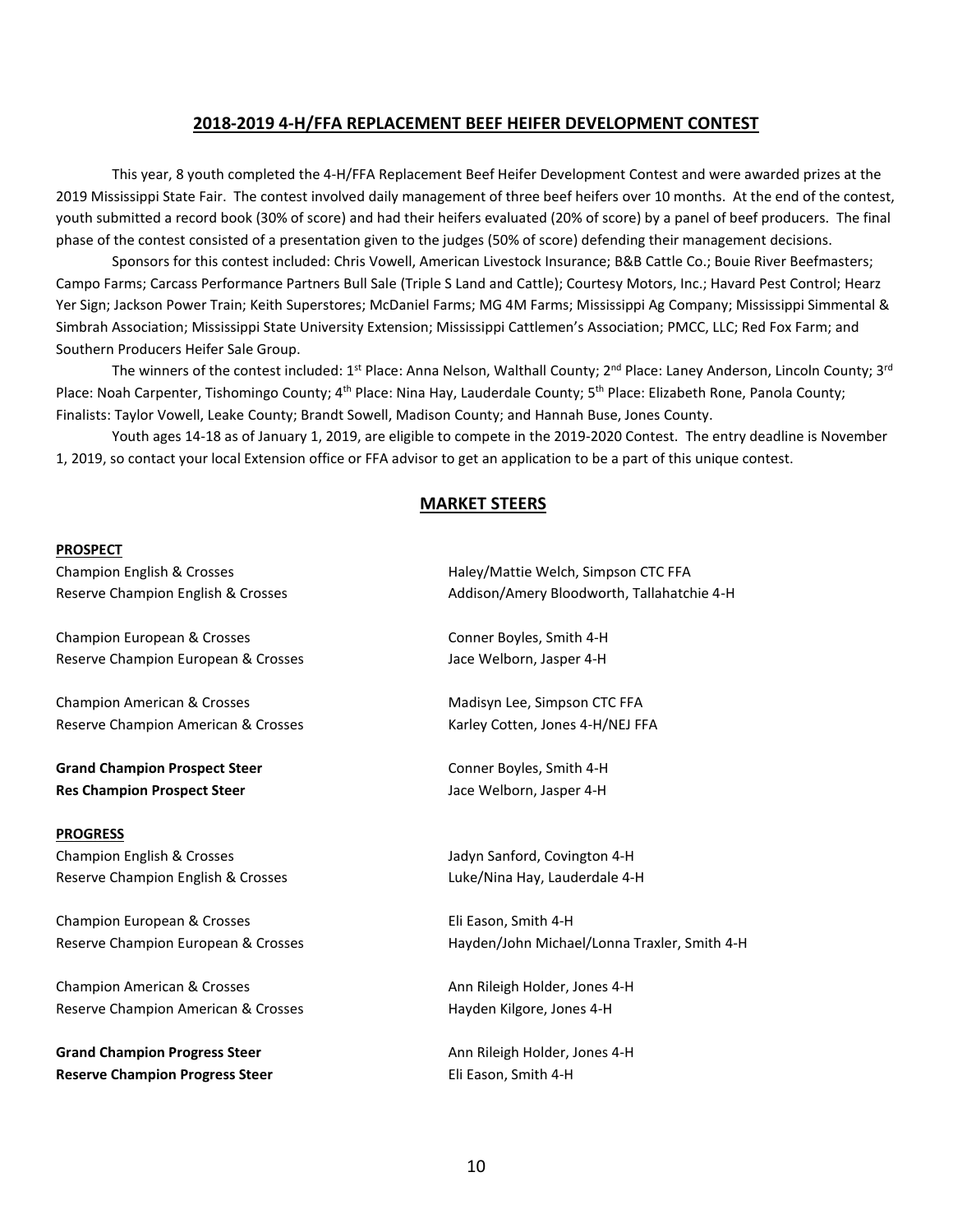#### **2018-2019 4-H/FFA REPLACEMENT BEEF HEIFER DEVELOPMENT CONTEST**

This year, 8 youth completed the 4-H/FFA Replacement Beef Heifer Development Contest and were awarded prizes at the 2019 Mississippi State Fair. The contest involved daily management of three beef heifers over 10 months. At the end of the contest, youth submitted a record book (30% of score) and had their heifers evaluated (20% of score) by a panel of beef producers. The final phase of the contest consisted of a presentation given to the judges (50% of score) defending their management decisions.

Sponsors for this contest included: Chris Vowell, American Livestock Insurance; B&B Cattle Co.; Bouie River Beefmasters; Campo Farms; Carcass Performance Partners Bull Sale (Triple S Land and Cattle); Courtesy Motors, Inc.; Havard Pest Control; Hearz Yer Sign; Jackson Power Train; Keith Superstores; McDaniel Farms; MG 4M Farms; Mississippi Ag Company; Mississippi Simmental & Simbrah Association; Mississippi State University Extension; Mississippi Cattlemen's Association; PMCC, LLC; Red Fox Farm; and Southern Producers Heifer Sale Group.

The winners of the contest included:  $1^{st}$  Place: Anna Nelson, Walthall County;  $2^{nd}$  Place: Laney Anderson, Lincoln County;  $3^{rd}$ Place: Noah Carpenter, Tishomingo County; 4<sup>th</sup> Place: Nina Hay, Lauderdale County; 5<sup>th</sup> Place: Elizabeth Rone, Panola County; Finalists: Taylor Vowell, Leake County; Brandt Sowell, Madison County; and Hannah Buse, Jones County.

Youth ages 14-18 as of January 1, 2019, are eligible to compete in the 2019-2020 Contest. The entry deadline is November 1, 2019, so contact your local Extension office or FFA advisor to get an application to be a part of this unique contest.

#### **MARKET STEERS**

#### **PROSPECT**

Champion European & Crosses Conner Boyles, Smith 4-H Reserve Champion European & Crosses Jace Welborn, Jasper 4-H

Champion American & Crosses The Champion American & Crosses Madisyn Lee, Simpson CTC FFA Reserve Champion American & Crosses Karley Cotten, Jones 4-H/NEJ FFA

**Grand Champion Prospect Steer** Conner Boyles, Smith 4-H **Res Champion Prospect Steer Jace Welborn, Jasper 4-H** Jace Welborn, Jasper 4-H

#### **PROGRESS**

Champion English & Crosses Jadyn Sanford, Covington 4-H Reserve Champion English & Crosses Luke/Nina Hay, Lauderdale 4-H

Champion European & Crosses Eli Eason, Smith 4-H

Champion American & Crosses Ann Rileigh Holder, Jones 4-H Reserve Champion American & Crosses The Mayden Kilgore, Jones 4-H

Grand Champion Progress Steer **Ann Rileigh Holder**, Jones 4-H **Reserve Champion Progress Steer Eli Eason, Smith 4-H** 

Champion English & Crosses Haley/Mattie Welch, Simpson CTC FFA Reserve Champion English & Crosses Addison/Amery Bloodworth, Tallahatchie 4-H

Reserve Champion European & Crosses Hayden/John Michael/Lonna Traxler, Smith 4-H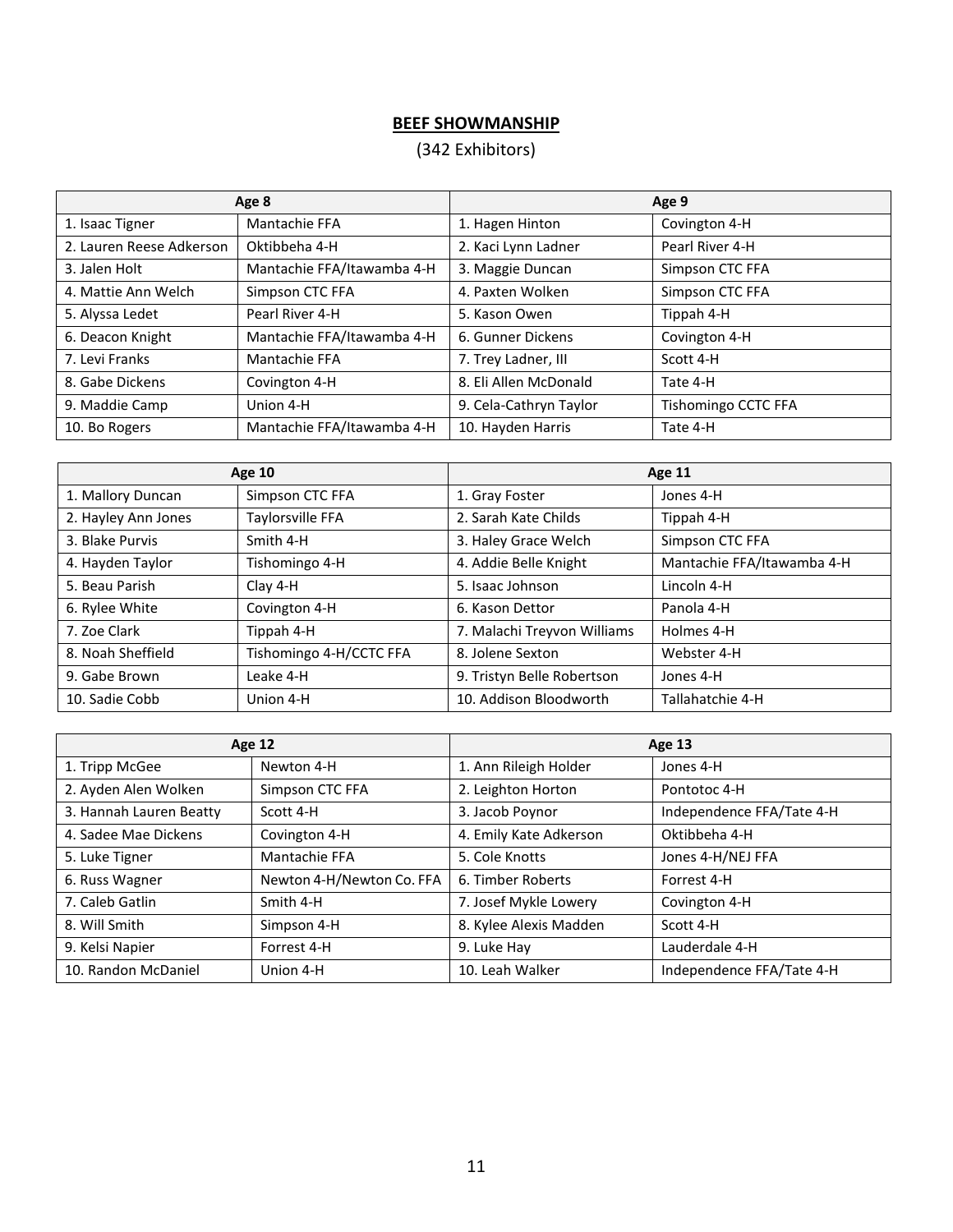# **BEEF SHOWMANSHIP**

# (342 Exhibitors)

|                          | Age 8                      | Age 9                  |                     |  |
|--------------------------|----------------------------|------------------------|---------------------|--|
| 1. Isaac Tigner          | Mantachie FFA              | 1. Hagen Hinton        | Covington 4-H       |  |
| 2. Lauren Reese Adkerson | Oktibbeha 4-H              | 2. Kaci Lynn Ladner    | Pearl River 4-H     |  |
| 3. Jalen Holt            | Mantachie FFA/Itawamba 4-H | 3. Maggie Duncan       | Simpson CTC FFA     |  |
| 4. Mattie Ann Welch      | Simpson CTC FFA            | 4. Paxten Wolken       | Simpson CTC FFA     |  |
| 5. Alyssa Ledet          | Pearl River 4-H            | 5. Kason Owen          | Tippah 4-H          |  |
| 6. Deacon Knight         | Mantachie FFA/Itawamba 4-H | 6. Gunner Dickens      | Covington 4-H       |  |
| 7. Levi Franks           | Mantachie FFA              | 7. Trey Ladner, III    | Scott 4-H           |  |
| 8. Gabe Dickens          | Covington 4-H              | 8. Eli Allen McDonald  | Tate 4-H            |  |
| 9. Maddie Camp           | Union 4-H                  | 9. Cela-Cathryn Taylor | Tishomingo CCTC FFA |  |
| 10. Bo Rogers            | Mantachie FFA/Itawamba 4-H | 10. Hayden Harris      | Tate 4-H            |  |

|                     | <b>Age 10</b>           | Age 11                      |                            |  |
|---------------------|-------------------------|-----------------------------|----------------------------|--|
| 1. Mallory Duncan   | Simpson CTC FFA         | 1. Gray Foster              | Jones 4-H                  |  |
| 2. Hayley Ann Jones | Taylorsville FFA        | 2. Sarah Kate Childs        | Tippah 4-H                 |  |
| 3. Blake Purvis     | Smith 4-H               | 3. Haley Grace Welch        | Simpson CTC FFA            |  |
| 4. Hayden Taylor    | Tishomingo 4-H          | 4. Addie Belle Knight       | Mantachie FFA/Itawamba 4-H |  |
| 5. Beau Parish      | Clay 4-H                | 5. Isaac Johnson            | Lincoln 4-H                |  |
| 6. Rylee White      | Covington 4-H           | 6. Kason Dettor             | Panola 4-H                 |  |
| 7. Zoe Clark        | Tippah 4-H              | 7. Malachi Treyvon Williams | Holmes 4-H                 |  |
| 8. Noah Sheffield   | Tishomingo 4-H/CCTC FFA | 8. Jolene Sexton            | Webster 4-H                |  |
| 9. Gabe Brown       | Leake 4-H               | 9. Tristyn Belle Robertson  | Jones 4-H                  |  |
| 10. Sadie Cobb      | Union 4-H               | 10. Addison Bloodworth      | Tallahatchie 4-H           |  |

|                         | <b>Age 12</b>             | Age 13                 |                           |  |
|-------------------------|---------------------------|------------------------|---------------------------|--|
| 1. Tripp McGee          | Newton 4-H                | 1. Ann Rileigh Holder  | Jones 4-H                 |  |
| 2. Ayden Alen Wolken    | Simpson CTC FFA           | 2. Leighton Horton     | Pontotoc 4-H              |  |
| 3. Hannah Lauren Beatty | Scott 4-H                 | 3. Jacob Poynor        | Independence FFA/Tate 4-H |  |
| 4. Sadee Mae Dickens    | Covington 4-H             | 4. Emily Kate Adkerson | Oktibbeha 4-H             |  |
| 5. Luke Tigner          | Mantachie FFA             | 5. Cole Knotts         | Jones 4-H/NEJ FFA         |  |
| 6. Russ Wagner          | Newton 4-H/Newton Co. FFA | 6. Timber Roberts      | Forrest 4-H               |  |
| 7. Caleb Gatlin         | Smith 4-H                 | 7. Josef Mykle Lowery  | Covington 4-H             |  |
| 8. Will Smith           | Simpson 4-H               | 8. Kylee Alexis Madden | Scott 4-H                 |  |
| 9. Kelsi Napier         | Forrest 4-H               | 9. Luke Hay            | Lauderdale 4-H            |  |
| 10. Randon McDaniel     | Union 4-H                 | 10. Leah Walker        | Independence FFA/Tate 4-H |  |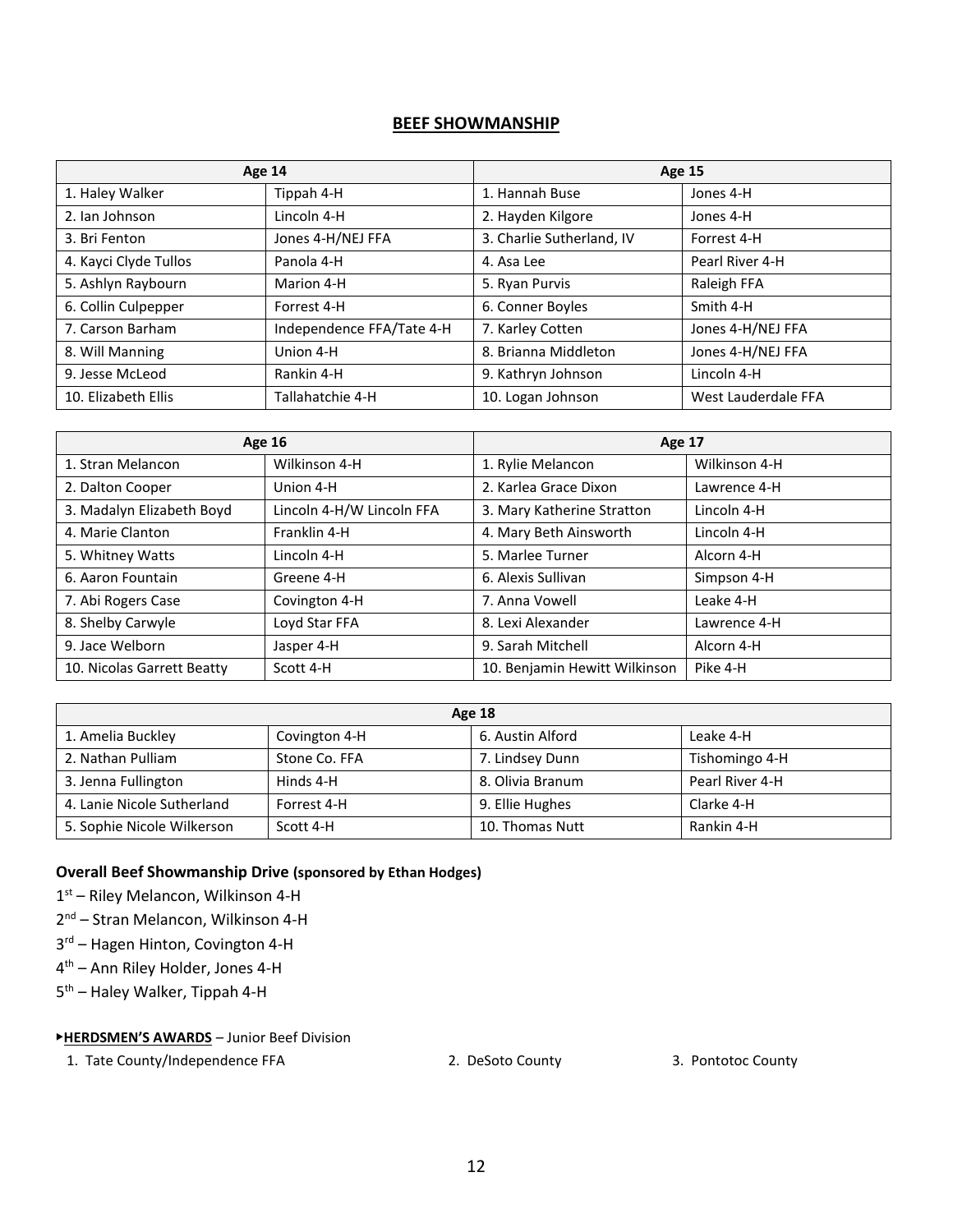#### **BEEF SHOWMANSHIP**

|                       | <b>Age 14</b>             | <b>Age 15</b>             |                     |  |
|-----------------------|---------------------------|---------------------------|---------------------|--|
| 1. Haley Walker       | Tippah 4-H                | 1. Hannah Buse            | Jones 4-H           |  |
| 2. Ian Johnson        | Lincoln 4-H               | 2. Hayden Kilgore         | Jones 4-H           |  |
| 3. Bri Fenton         | Jones 4-H/NEJ FFA         | 3. Charlie Sutherland, IV | Forrest 4-H         |  |
| 4. Kayci Clyde Tullos | Panola 4-H                | 4. Asa Lee                | Pearl River 4-H     |  |
| 5. Ashlyn Raybourn    | Marion 4-H                | 5. Ryan Purvis            | Raleigh FFA         |  |
| 6. Collin Culpepper   | Forrest 4-H               | 6. Conner Boyles          | Smith 4-H           |  |
| 7. Carson Barham      | Independence FFA/Tate 4-H | 7. Karley Cotten          | Jones 4-H/NEJ FFA   |  |
| 8. Will Manning       | Union 4-H                 | 8. Brianna Middleton      | Jones 4-H/NEJ FFA   |  |
| 9. Jesse McLeod       | Rankin 4-H                | 9. Kathryn Johnson        | Lincoln 4-H         |  |
| 10. Elizabeth Ellis   | Tallahatchie 4-H          | 10. Logan Johnson         | West Lauderdale FFA |  |

|                            | <b>Age 16</b>             | Age 17                        |               |  |
|----------------------------|---------------------------|-------------------------------|---------------|--|
| 1. Stran Melancon          | Wilkinson 4-H             | 1. Rylie Melancon             | Wilkinson 4-H |  |
| 2. Dalton Cooper           | Union 4-H                 | 2. Karlea Grace Dixon         | Lawrence 4-H  |  |
| 3. Madalyn Elizabeth Boyd  | Lincoln 4-H/W Lincoln FFA | 3. Mary Katherine Stratton    | Lincoln 4-H   |  |
| 4. Marie Clanton           | Franklin 4-H              | 4. Mary Beth Ainsworth        | Lincoln 4-H   |  |
| 5. Whitney Watts           | Lincoln 4-H               | 5. Marlee Turner              | Alcorn 4-H    |  |
| 6. Aaron Fountain          | Greene 4-H                | 6. Alexis Sullivan            | Simpson 4-H   |  |
| 7. Abi Rogers Case         | Covington 4-H             | 7. Anna Vowell                | Leake 4-H     |  |
| 8. Shelby Carwyle          | Loyd Star FFA             | 8. Lexi Alexander             | Lawrence 4-H  |  |
| 9. Jace Welborn            | Jasper 4-H                | 9. Sarah Mitchell             | Alcorn 4-H    |  |
| 10. Nicolas Garrett Beatty | Scott 4-H                 | 10. Benjamin Hewitt Wilkinson | Pike 4-H      |  |

| <b>Age 18</b>              |               |                  |                 |  |
|----------------------------|---------------|------------------|-----------------|--|
| 1. Amelia Buckley          | Covington 4-H | 6. Austin Alford | Leake 4-H       |  |
| 2. Nathan Pulliam          | Stone Co. FFA | 7. Lindsey Dunn  | Tishomingo 4-H  |  |
| 3. Jenna Fullington        | Hinds 4-H     | 8. Olivia Branum | Pearl River 4-H |  |
| 4. Lanie Nicole Sutherland | Forrest 4-H   | 9. Ellie Hughes  | Clarke 4-H      |  |
| 5. Sophie Nicole Wilkerson | Scott 4-H     | 10. Thomas Nutt  | Rankin 4-H      |  |

#### **Overall Beef Showmanship Drive (sponsored by Ethan Hodges)**

1st – Riley Melancon, Wilkinson 4-H

- 2<sup>nd</sup> Stran Melancon, Wilkinson 4-H
- 3<sup>rd</sup> Hagen Hinton, Covington 4-H
- 4 th Ann Riley Holder, Jones 4-H
- 5<sup>th</sup> Haley Walker, Tippah 4-H

#### ▶**HERDSMEN'S AWARDS** – Junior Beef Division

1. Tate County/Independence FFA 2. DeSoto County 3. Pontotoc County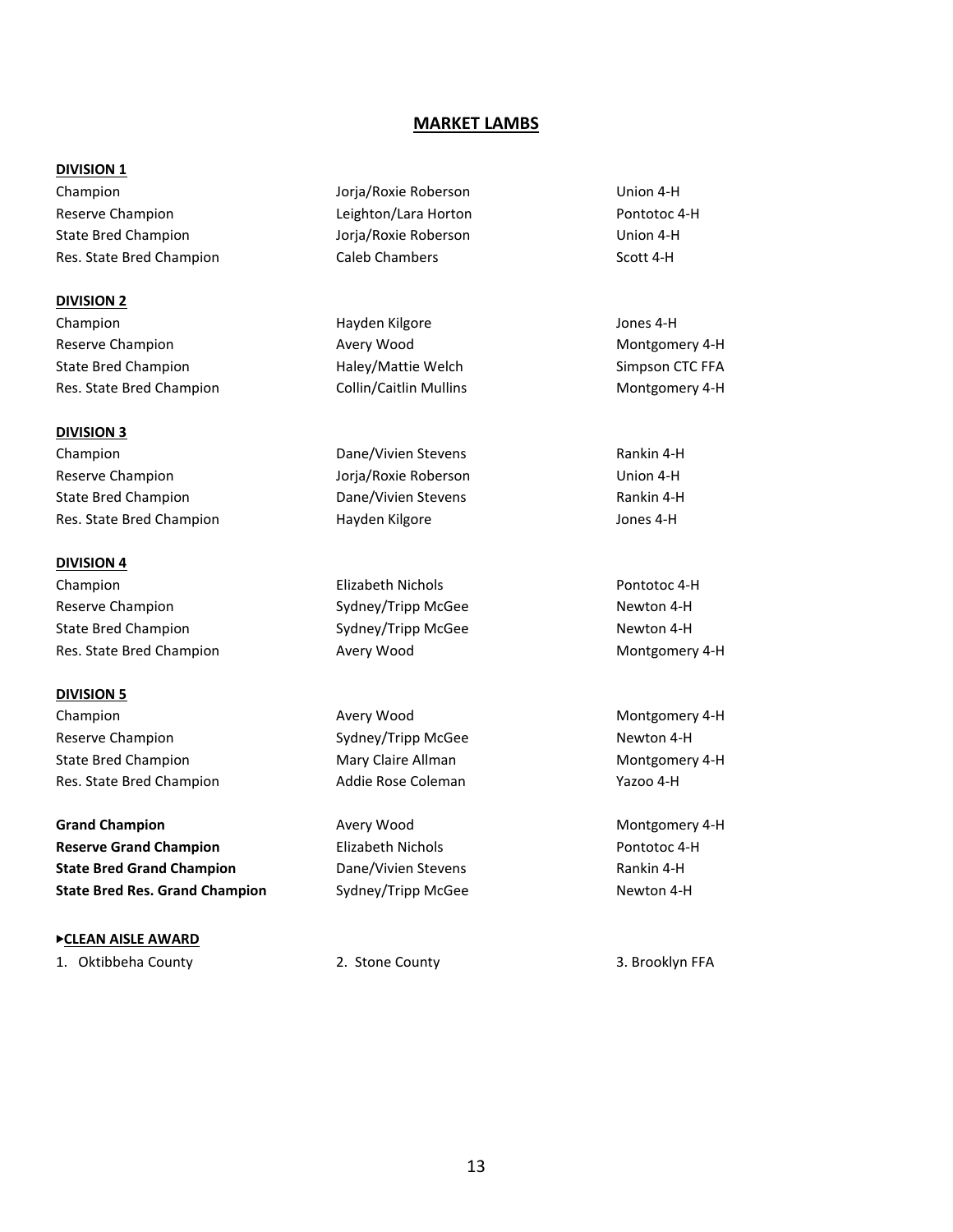#### **MARKET LAMBS**

#### **DIVISION 1**

Champion Jorja/Roxie Roberson Union 4-H Reserve Champion **Reserve Champion** Leighton/Lara Horton **Pontotoc 4-H** State Bred Champion Jorja/Roxie Roberson Union 4-H Res. State Bred Champion Caleb Chambers Scott 4-H

**DIVISION 2** Champion **Champion** Hayden Kilgore **Hayden Hayden** Champion **Jones 4-H** Reserve Champion **Avery Wood** Avery Wood Montgomery 4-H State Bred Champion **Haley/Mattie Welch** Simpson CTC FFA Res. State Bred Champion Collin/Caitlin Mullins Montgomery 4-H

**DIVISION 3** Champion Dane/Vivien Stevens Rankin 4-H Reserve Champion Jorja/Roxie Roberson Union 4-H State Bred Champion **State Bred Champion** Dane/Vivien Stevens **Rankin 4-H** 

**DIVISION 4** Champion Elizabeth Nichols Pontotoc 4-H Reserve Champion The Sydney/Tripp McGee Newton 4-H State Bred Champion **Sydney/Tripp McGee** Newton 4-H Res. State Bred Champion **Avery Wood Avery Wood** Montgomery 4-H

**DIVISION 5** Champion **Avery Wood** Avery Wood Montgomery 4-H Reserve Champion The Sydney/Tripp McGee Newton 4-H State Bred Champion Mary Claire Allman Montgomery 4-H Res. State Bred Champion **Addie Rose Coleman** Pazoo 4-H

**Grand Champion Avery Wood Champion Avery Wood Montgomery 4-H Reserve Grand Champion Elizabeth Nichols Pontotoc 4-H State Bred Grand Champion** Dane/Vivien Stevens **Rankin 4-H Rankin 4-H State Bred Res. Grand Champion** Sydney/Tripp McGee Newton 4-H

▶**CLEAN AISLE AWARD**

Res. State Bred Champion **Hayden Kilgore** Hayden Kilgore Jones 4-H

1. Oktibbeha County 2. Stone County 3. Brooklyn FFA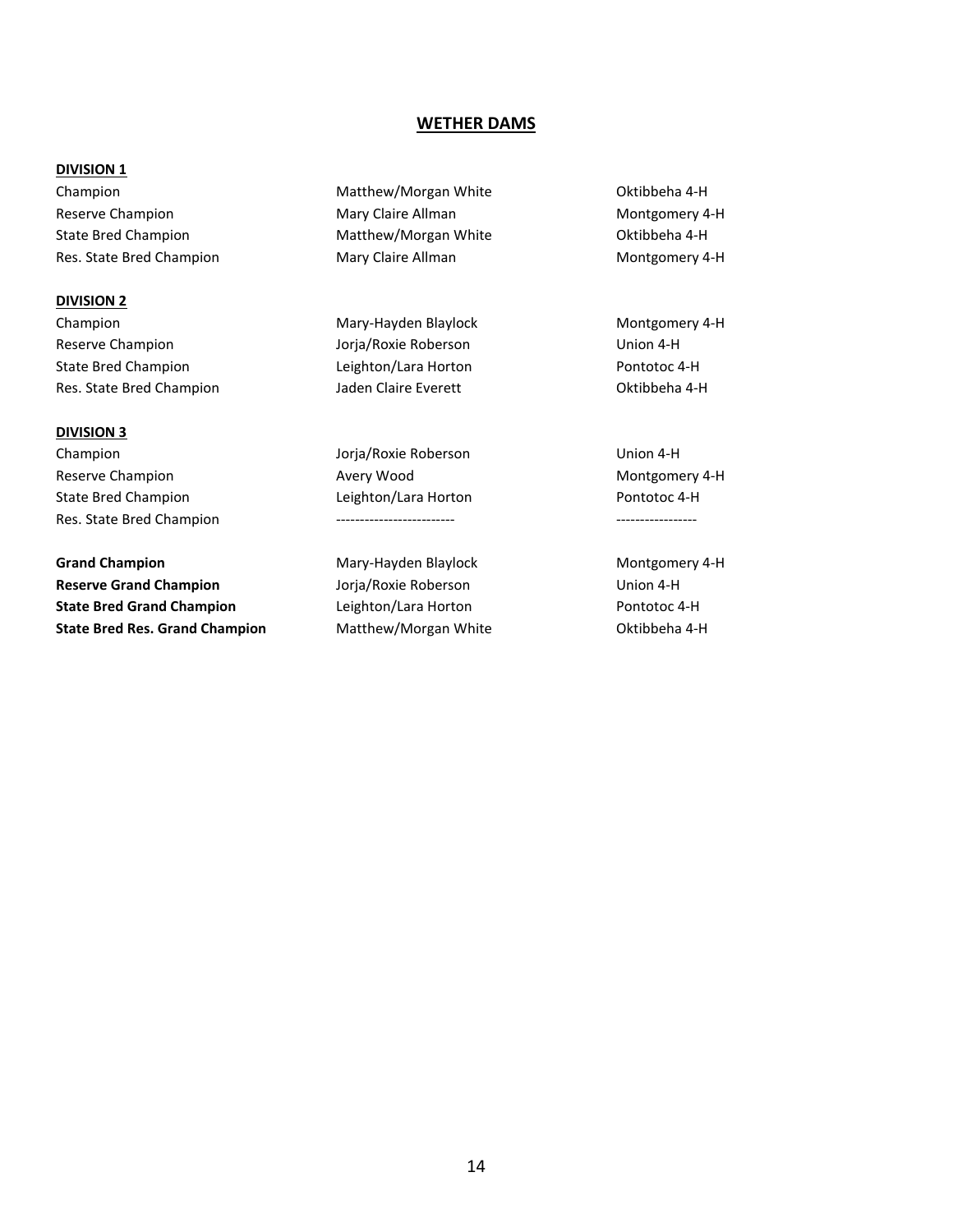#### **WETHER DAMS**

#### **DIVISION 1**

Reserve Champion **Mary Claire Allman** Montgomery 4-H State Bred Champion **Matthew/Morgan White** Oktibbeha 4-H Res. State Bred Champion **Mary Claire Allman** Montgomery 4-H

**DIVISION 2**

Reserve Champion Jorja/Roxie Roberson Union 4-H State Bred Champion Leighton/Lara Horton Pontotoc 4-H Res. State Bred Champion **Matter State Bred Champion** Jaden Claire Everett **Champion** Oktibbeha 4-H

#### **DIVISION 3**

Champion Jorja/Roxie Roberson Union 4-H Reserve Champion **Avery Wood** Avery Wood Montgomery 4-H State Bred Champion Leighton/Lara Horton Pontotoc 4-H Res. State Bred Champion ------------------------- -----------------

Grand Champion **Mary-Hayden Blaylock** Montgomery 4-H **Reserve Grand Champion** Jorja/Roxie Roberson Union 4-H **State Bred Grand Champion** Leighton/Lara Horton **Promission** Pontotoc 4-H **State Bred Res. Grand Champion** Matthew/Morgan White **Matthew** Oktibbeha 4-H

Champion Matthew/Morgan White Oktibbeha 4-H

Champion Mary-Hayden Blaylock Montgomery 4-H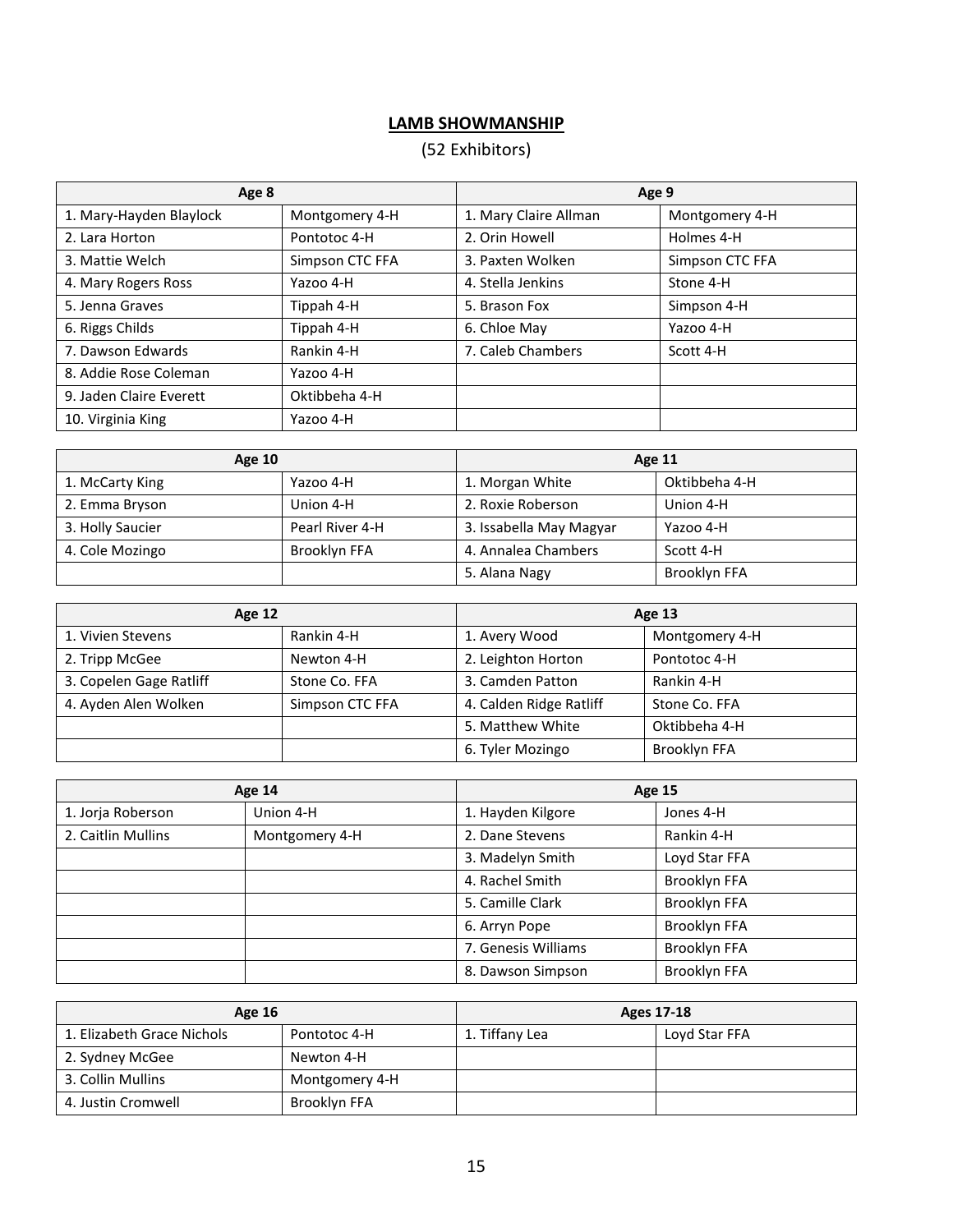# **LAMB SHOWMANSHIP**

# (52 Exhibitors)

| Age 8                   |                 | Age 9                 |                 |  |
|-------------------------|-----------------|-----------------------|-----------------|--|
| 1. Mary-Hayden Blaylock | Montgomery 4-H  | 1. Mary Claire Allman | Montgomery 4-H  |  |
| 2. Lara Horton          | Pontotoc 4-H    | 2. Orin Howell        | Holmes 4-H      |  |
| 3. Mattie Welch         | Simpson CTC FFA | 3. Paxten Wolken      | Simpson CTC FFA |  |
| 4. Mary Rogers Ross     | Yazoo 4-H       | 4. Stella Jenkins     | Stone 4-H       |  |
| 5. Jenna Graves         | Tippah 4-H      | 5. Brason Fox         | Simpson 4-H     |  |
| 6. Riggs Childs         | Tippah 4-H      | 6. Chloe May          | Yazoo 4-H       |  |
| 7. Dawson Edwards       | Rankin 4-H      | 7. Caleb Chambers     | Scott 4-H       |  |
| 8. Addie Rose Coleman   | Yazoo 4-H       |                       |                 |  |
| 9. Jaden Claire Everett | Oktibbeha 4-H   |                       |                 |  |
| 10. Virginia King       | Yazoo 4-H       |                       |                 |  |

| <b>Age 10</b>    |                 | Age 11                  |               |  |
|------------------|-----------------|-------------------------|---------------|--|
| 1. McCarty King  | Yazoo 4-H       | 1. Morgan White         | Oktibbeha 4-H |  |
| 2. Emma Bryson   | Union 4-H       | 2. Roxie Roberson       | Union 4-H     |  |
| 3. Holly Saucier | Pearl River 4-H | 3. Issabella May Magyar | Yazoo 4-H     |  |
| 4. Cole Mozingo  | Brooklyn FFA    | 4. Annalea Chambers     | Scott 4-H     |  |
|                  |                 | 5. Alana Nagy           | Brooklyn FFA  |  |

| <b>Age 12</b>           |                 |                         | Age 13         |  |
|-------------------------|-----------------|-------------------------|----------------|--|
| 1. Vivien Stevens       | Rankin 4-H      | 1. Avery Wood           | Montgomery 4-H |  |
| 2. Tripp McGee          | Newton 4-H      | 2. Leighton Horton      | Pontotoc 4-H   |  |
| 3. Copelen Gage Ratliff | Stone Co. FFA   | 3. Camden Patton        | Rankin 4-H     |  |
| 4. Ayden Alen Wolken    | Simpson CTC FFA | 4. Calden Ridge Ratliff | Stone Co. FFA  |  |
|                         |                 | 5. Matthew White        | Oktibbeha 4-H  |  |
|                         |                 | 6. Tyler Mozingo        | Brooklyn FFA   |  |

| Age 14             |                | <b>Age 15</b>       |               |
|--------------------|----------------|---------------------|---------------|
| 1. Jorja Roberson  | Union 4-H      | 1. Hayden Kilgore   | Jones 4-H     |
| 2. Caitlin Mullins | Montgomery 4-H | 2. Dane Stevens     | Rankin 4-H    |
|                    |                | 3. Madelyn Smith    | Loyd Star FFA |
|                    |                | 4. Rachel Smith     | Brooklyn FFA  |
|                    |                | 5. Camille Clark    | Brooklyn FFA  |
|                    |                | 6. Arryn Pope       | Brooklyn FFA  |
|                    |                | 7. Genesis Williams | Brooklyn FFA  |
|                    |                | 8. Dawson Simpson   | Brooklyn FFA  |

| <b>Age 16</b>              |                | Ages 17-18     |               |
|----------------------------|----------------|----------------|---------------|
| 1. Elizabeth Grace Nichols | Pontotoc 4-H   | 1. Tiffany Lea | Loyd Star FFA |
| 2. Sydney McGee            | Newton 4-H     |                |               |
| 3. Collin Mullins          | Montgomery 4-H |                |               |
| 4. Justin Cromwell         | Brooklyn FFA   |                |               |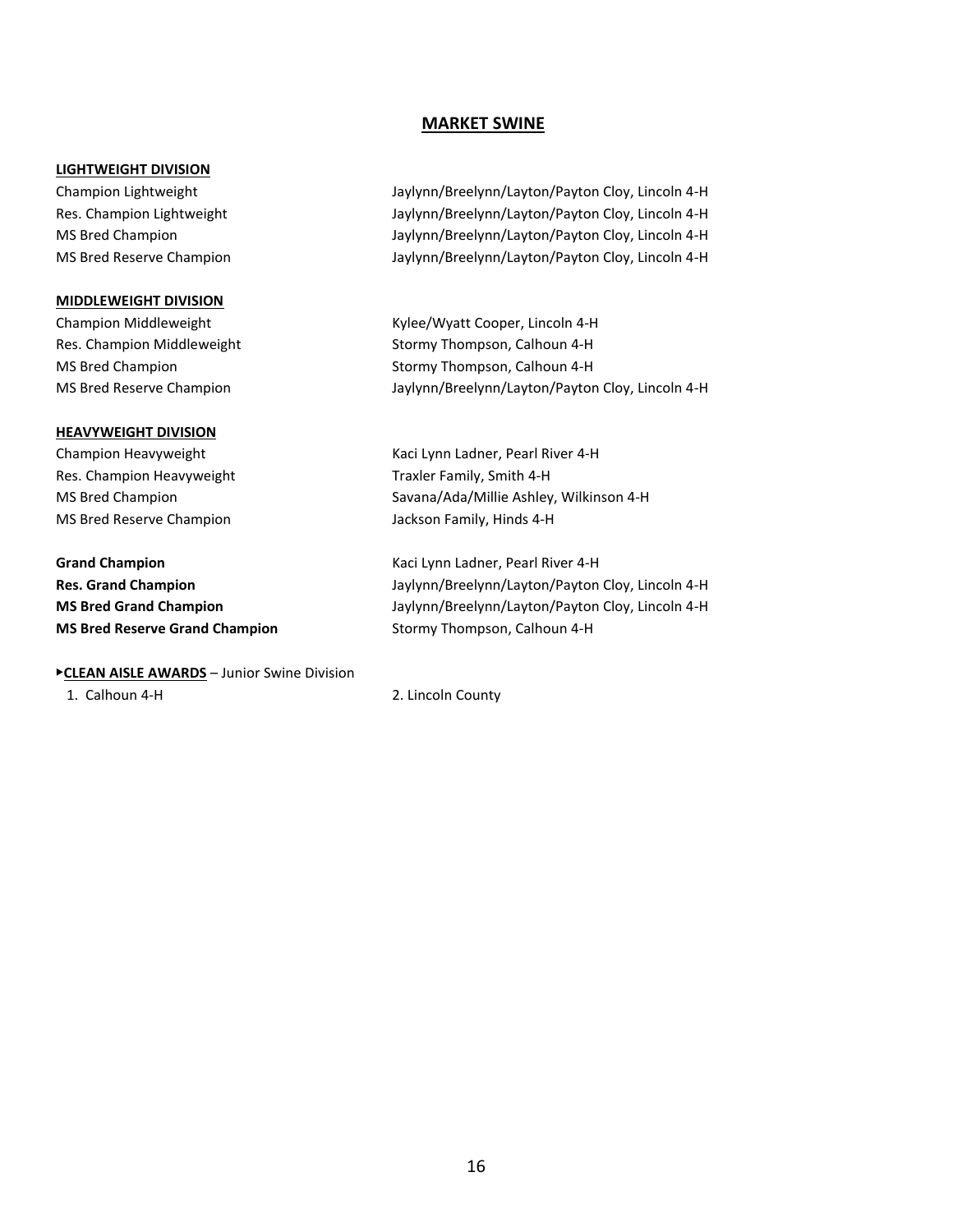#### **MARKET SWINE**

#### **LIGHTWEIGHT DIVISION**

#### **MIDDLEWEIGHT DIVISION**

#### **HEAVYWEIGHT DIVISION**

Res. Champion Heavyweight Traxler Family, Smith 4-H

**Grand Champion** Kaci Lynn Ladner, Pearl River 4-H **MS Bred Reserve Grand Champion** Stormy Thompson, Calhoun 4-H

#### ▶**CLEAN AISLE AWARDS** – Junior Swine Division

Champion Lightweight Jaylynn/Breelynn/Layton/Payton Cloy, Lincoln 4-H Res. Champion Lightweight **Jaylynn/Breelynn/Layton/Payton Cloy, Lincoln 4-H** MS Bred Champion Jaylynn/Breelynn/Layton/Payton Cloy, Lincoln 4-H MS Bred Reserve Champion Jaylynn/Breelynn/Layton/Payton Cloy, Lincoln 4-H

Champion Middleweight Kylee/Wyatt Cooper, Lincoln 4-H Res. Champion Middleweight Stormy Thompson, Calhoun 4-H MS Bred Champion Stormy Thompson, Calhoun 4-H MS Bred Reserve Champion Jaylynn/Breelynn/Layton/Payton Cloy, Lincoln 4-H

Champion Heavyweight Kaci Lynn Ladner, Pearl River 4-H MS Bred Champion Savana/Ada/Millie Ashley, Wilkinson 4-H MS Bred Reserve Champion MS Bred Reserve Champion

**Res. Grand Champion** Jaylynn/Breelynn/Layton/Payton Cloy, Lincoln 4-H **MS Bred Grand Champion** Jaylynn/Breelynn/Layton/Payton Cloy, Lincoln 4-H

1. Calhoun 4-H 2. Lincoln County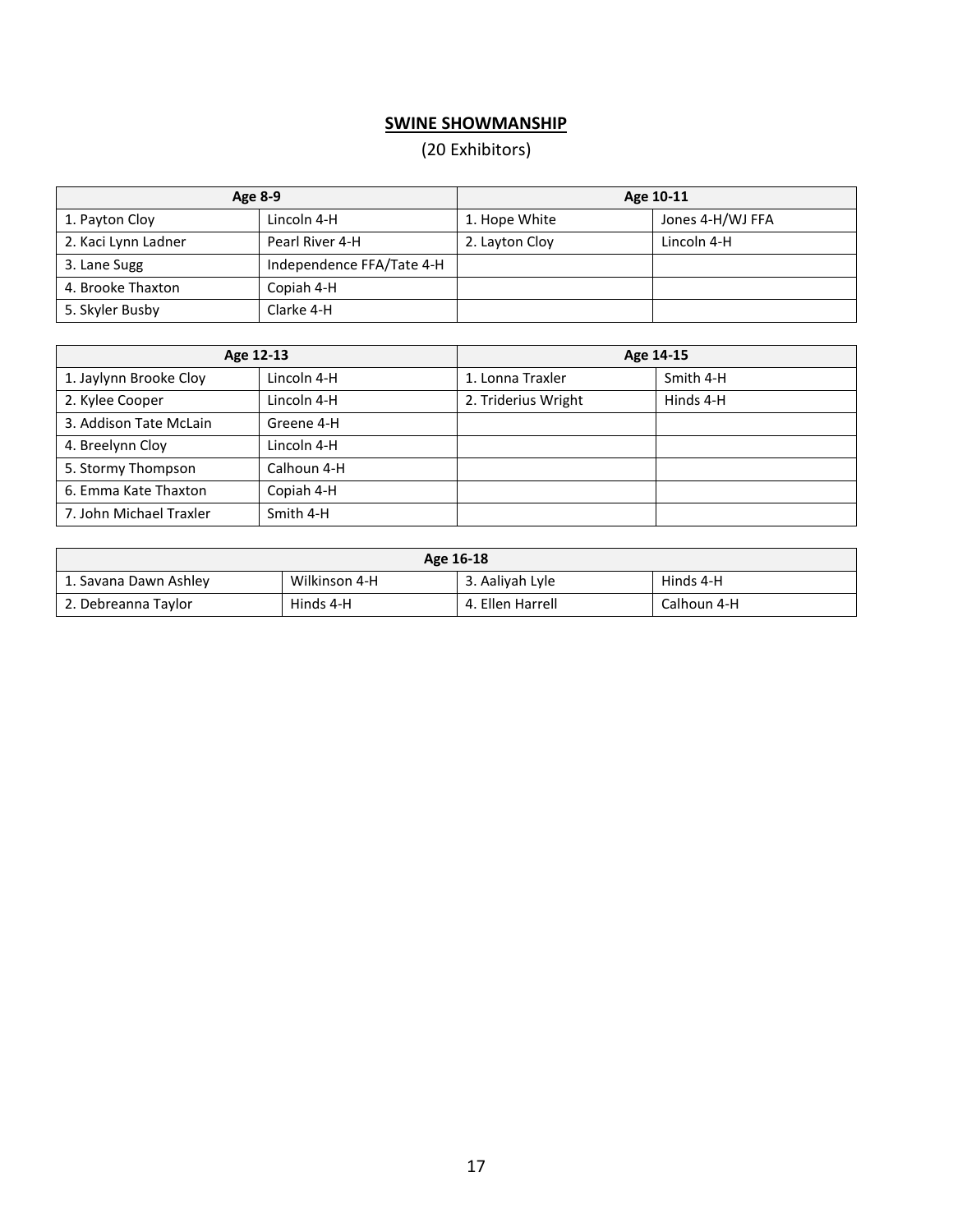# **SWINE SHOWMANSHIP**

# (20 Exhibitors)

| Age 8-9             |                           | Age 10-11      |                  |
|---------------------|---------------------------|----------------|------------------|
| 1. Payton Cloy      | Lincoln 4-H               | 1. Hope White  | Jones 4-H/WJ FFA |
| 2. Kaci Lynn Ladner | Pearl River 4-H           | 2. Layton Cloy | Lincoln 4-H      |
| 3. Lane Sugg        | Independence FFA/Tate 4-H |                |                  |
| 4. Brooke Thaxton   | Copiah 4-H                |                |                  |
| 5. Skyler Busby     | Clarke 4-H                |                |                  |

| Age 12-13               |             | Age 14-15           |           |
|-------------------------|-------------|---------------------|-----------|
| 1. Jaylynn Brooke Cloy  | Lincoln 4-H | 1. Lonna Traxler    | Smith 4-H |
| 2. Kylee Cooper         | Lincoln 4-H | 2. Triderius Wright | Hinds 4-H |
| 3. Addison Tate McLain  | Greene 4-H  |                     |           |
| 4. Breelynn Cloy        | Lincoln 4-H |                     |           |
| 5. Stormy Thompson      | Calhoun 4-H |                     |           |
| 6. Emma Kate Thaxton    | Copiah 4-H  |                     |           |
| 7. John Michael Traxler | Smith 4-H   |                     |           |

| Age 16-18             |               |                  |             |
|-----------------------|---------------|------------------|-------------|
| 1. Savana Dawn Ashley | Wilkinson 4-H | 3. Aaliyah Lyle  | Hinds 4-H   |
| 2. Debreanna Taylor   | Hinds 4-H     | 4. Ellen Harrell | Calhoun 4-H |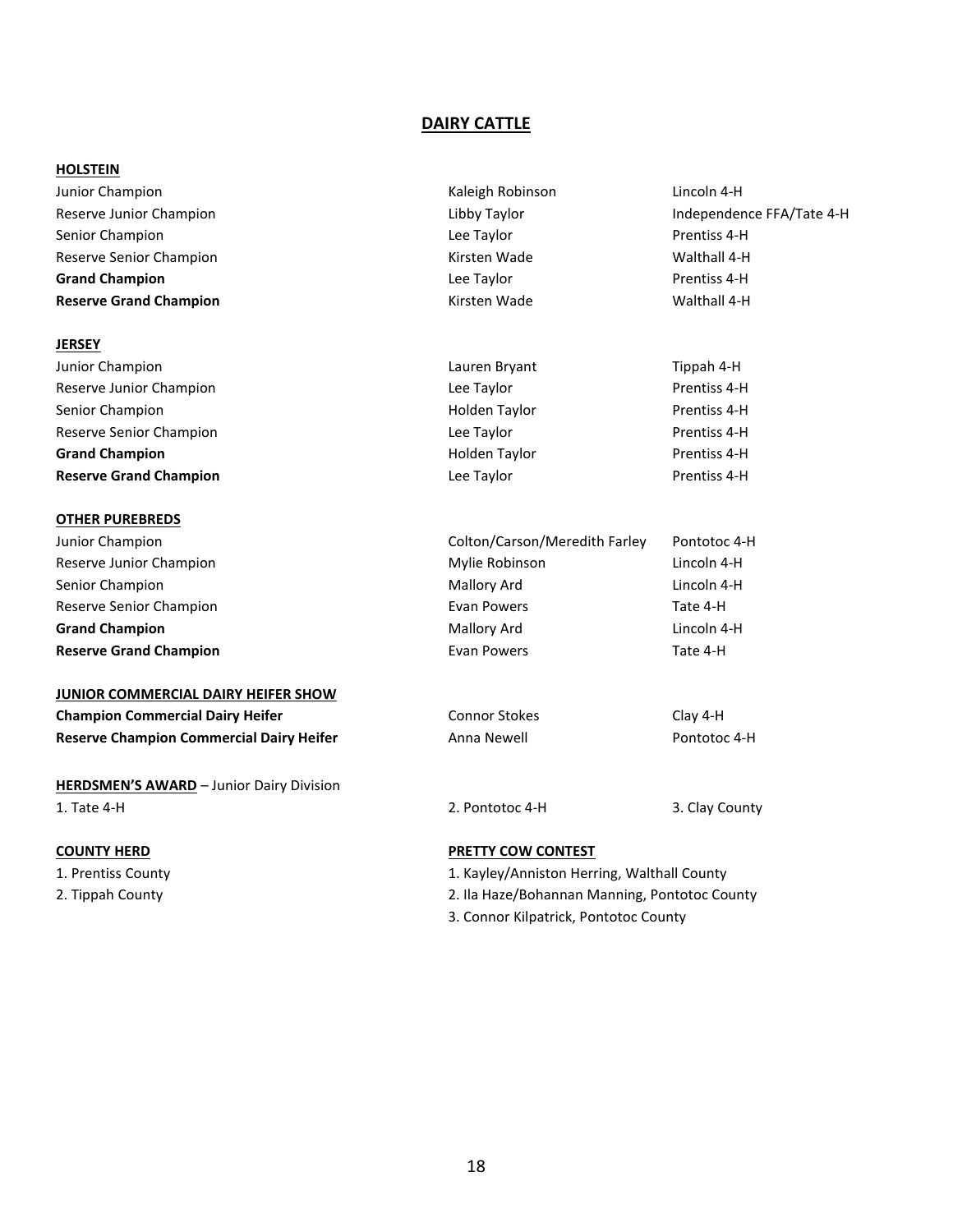#### **DAIRY CATTLE**

#### **HOLSTEIN**

Junior Champion Kaleigh Robinson Lincoln 4-H Senior Champion **Senior Champion** Champion **Lee Taylor Lee Taylor Prentiss 4-H** Reserve Senior Champion **Kirsten Wade** Kirsten Wade Walthall 4-H **Grand Champion Champion Champion Champion Champion Champion Champion Champion Champion Champion Champion Champion Champion Champion Champion Champion Champion Champion Champion Champi Reserve Grand Champion Reserve Grand Champion Kirsten Wade Kirsten Wade** Walthall 4-H

#### **JERSEY**

Junior Champion **Lauren Bryant Tippah 4-Hauren Bryant Tippah 4-Hauren Bryant Tippah 4-Hauren Bryant Tippah 4-H** Reserve Junior Champion **Reserve Junior Champion** Champion **Lee Taylor Lee Taylor** Prentiss 4-H Senior Champion **Senior Champion** Champion **Holden Taylor** Prentiss 4-H Reserve Senior Champion **Reserve Senior Champion Lee Taylor Lee Taylor** Prentiss 4-H **Grand Champion Grand Champion Champion Champion Champion Champion Champion Champion Champion Champion Champion Champion Champion Champion Champion Champion Champion Champion Champion Reserve Grand Champion Champion Lee Taylor Prentiss 4-H Prentiss 4-H** 

#### **OTHER PUREBREDS**

#### **JUNIOR COMMERCIAL DAIRY HEIFER SHOW**

| <b>Champion Commercial Dairy Heifer</b>         | Connor Stokes | Clay 4-H     |
|-------------------------------------------------|---------------|--------------|
| <b>Reserve Champion Commercial Dairy Heifer</b> | Anna Newell   | Pontotoc 4-H |

**HERDSMEN'S AWARD** – Junior Dairy Division 1. Tate 4-H 2. Pontotoc 4-H 3. Clay County

- 
- 

Reserve Junior Champion Taylor Champion Libby Taylor Champion Libby Taylor Champion Champion Champion Champion

| auren Bryant | Tippah 4-H  |
|--------------|-------------|
| ee Taylor    | Prentiss 4- |
| olden Taylor | Prentiss 4- |
| ee Taylor    | Prentiss 4- |
| olden Taylor | Prentiss 4- |
| ee Taylor    | Prentiss 4- |

| Junior Champion               | Colton/Carson/Meredith Farley | Pontotoc 4-H |
|-------------------------------|-------------------------------|--------------|
| Reserve Junior Champion       | Mylie Robinson                | Lincoln 4-H  |
| Senior Champion               | Mallory Ard                   | Lincoln 4-H  |
| Reserve Senior Champion       | Evan Powers                   | Tate 4-H     |
| <b>Grand Champion</b>         | Mallory Ard                   | Lincoln 4-H  |
| <b>Reserve Grand Champion</b> | Evan Powers                   | Tate 4-H     |

#### **COUNTY HERD PRETTY COW CONTEST**

- 1. Prentiss County 1. Kayley/Anniston Herring, Walthall County
- 2. Tippah County 2. Ila Haze/Bohannan Manning, Pontotoc County
	- 3. Connor Kilpatrick, Pontotoc County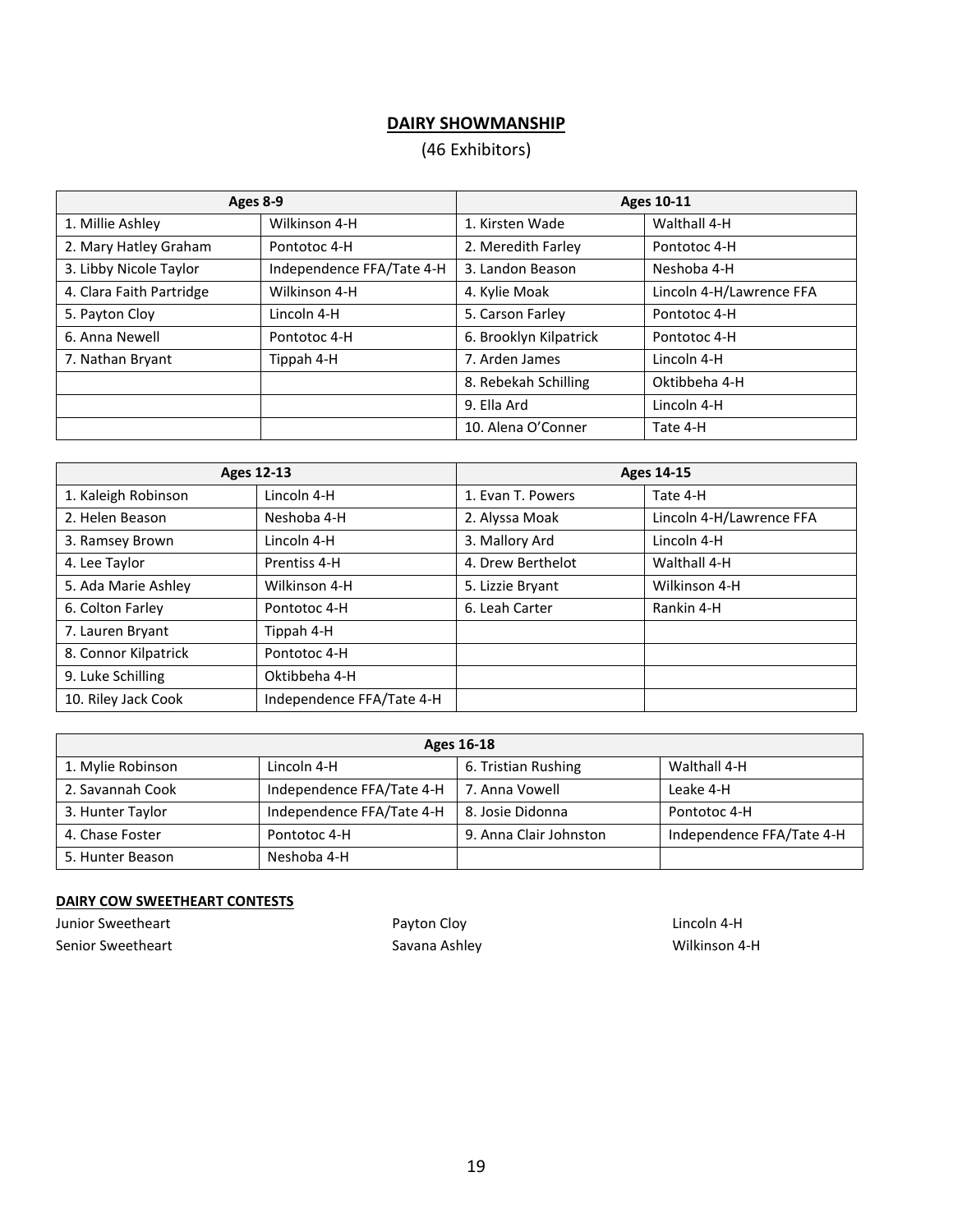# **DAIRY SHOWMANSHIP**

# (46 Exhibitors)

| Ages 8-9                 |                           | <b>Ages 10-11</b>      |                          |
|--------------------------|---------------------------|------------------------|--------------------------|
| 1. Millie Ashley         | Wilkinson 4-H             | 1. Kirsten Wade        | Walthall 4-H             |
| 2. Mary Hatley Graham    | Pontotoc 4-H              | 2. Meredith Farley     | Pontotoc 4-H             |
| 3. Libby Nicole Taylor   | Independence FFA/Tate 4-H | 3. Landon Beason       | Neshoba 4-H              |
| 4. Clara Faith Partridge | Wilkinson 4-H             | 4. Kylie Moak          | Lincoln 4-H/Lawrence FFA |
| 5. Payton Cloy           | Lincoln 4-H               | 5. Carson Farley       | Pontotoc 4-H             |
| 6. Anna Newell           | Pontotoc 4-H              | 6. Brooklyn Kilpatrick | Pontotoc 4-H             |
| 7. Nathan Bryant         | Tippah 4-H                | 7. Arden James         | Lincoln 4-H              |
|                          |                           | 8. Rebekah Schilling   | Oktibbeha 4-H            |
|                          |                           | 9. Ella Ard            | Lincoln 4-H              |
|                          |                           | 10. Alena O'Conner     | Tate 4-H                 |

| <b>Ages 12-13</b>    |                           | <b>Ages 14-15</b> |                          |
|----------------------|---------------------------|-------------------|--------------------------|
| 1. Kaleigh Robinson  | Lincoln 4-H               | 1. Evan T. Powers | Tate 4-H                 |
| 2. Helen Beason      | Neshoba 4-H               | 2. Alyssa Moak    | Lincoln 4-H/Lawrence FFA |
| 3. Ramsey Brown      | Lincoln 4-H               | 3. Mallory Ard    | Lincoln 4-H              |
| 4. Lee Taylor        | Prentiss 4-H              | 4. Drew Berthelot | Walthall 4-H             |
| 5. Ada Marie Ashley  | Wilkinson 4-H             | 5. Lizzie Bryant  | Wilkinson 4-H            |
| 6. Colton Farley     | Pontotoc 4-H              | 6. Leah Carter    | Rankin 4-H               |
| 7. Lauren Bryant     | Tippah 4-H                |                   |                          |
| 8. Connor Kilpatrick | Pontotoc 4-H              |                   |                          |
| 9. Luke Schilling    | Oktibbeha 4-H             |                   |                          |
| 10. Riley Jack Cook  | Independence FFA/Tate 4-H |                   |                          |

| Ages 16-18        |                           |                        |                           |
|-------------------|---------------------------|------------------------|---------------------------|
| 1. Mylie Robinson | Lincoln 4-H               | 6. Tristian Rushing    | Walthall 4-H              |
| 2. Savannah Cook  | Independence FFA/Tate 4-H | 7. Anna Vowell         | Leake 4-H                 |
| 3. Hunter Taylor  | Independence FFA/Tate 4-H | 8. Josie Didonna       | Pontotoc 4-H              |
| 4. Chase Foster   | Pontotoc 4-H              | 9. Anna Clair Johnston | Independence FFA/Tate 4-H |
| 5. Hunter Beason  | Neshoba 4-H               |                        |                           |

#### **DAIRY COW SWEETHEART CONTESTS**

Junior Sweetheart **Accord 2018** 2019 12:30 Payton Cloy Payton Clouse 2019 12:30 Lincoln 4-H Senior Sweetheart Savana Ashley Savana Ashley Senior Sweetheart Milkinson 4-H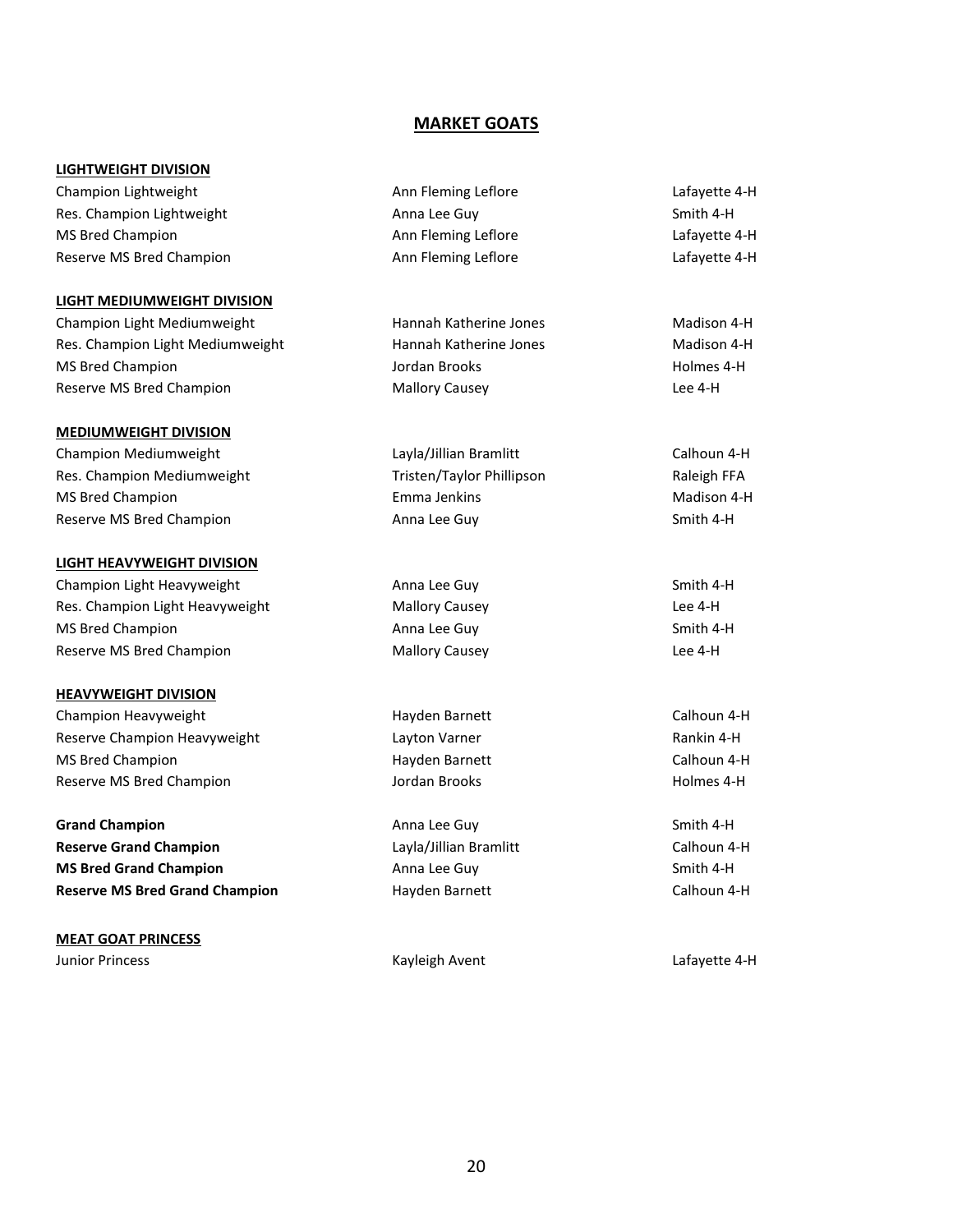#### **MARKET GOATS**

#### **LIGHTWEIGHT DIVISION**

Champion Lightweight **Ann Fleming Leflore** Lafayette 4-H Res. Champion Lightweight **Anna Lee Guy Smith 4-H** Anna Lee Guy Smith 4-H MS Bred Champion **Ann Fleming Leflore** Announced Lafayette 4-H Reserve MS Bred Champion **Ann Fleming Leflore** Announced Lafayette 4-H

#### **LIGHT MEDIUMWEIGHT DIVISION**

Champion Light Mediumweight **Hannah Katherine Jones** Madison 4-H Res. Champion Light Mediumweight **Hannah Katherine Jones** Madison 4-H MS Bred Champion **MS Bred Champion Jordan Brooks Holmes 4-H** Reserve MS Bred Champion The Champion Mallory Causey Champion Chee 4-H

#### **MEDIUMWEIGHT DIVISION**

Champion Mediumweight Layla/Jillian Bramlitt Calhoun 4-H Res. Champion Mediumweight Tristen/Taylor Phillipson Raleigh FFA MS Bred Champion **Emma Jenkins** Emma Jenkins **Madison 4-H** Reserve MS Bred Champion **Anna Lee Guy Smith 4-H** Anna Lee Guy Smith 4-H

#### **LIGHT HEAVYWEIGHT DIVISION**

Champion Light Heavyweight **Anna Lee Guy Champion Light Heavyweight** Anna Lee Guy Smith 4-H Res. Champion Light Heavyweight Mallory Causey Mallory Causey Cause A-H MS Bred Champion **Anna Lee Guy Smith 4-H** Anna Lee Guy Smith 4-H Reserve MS Bred Champion **Mallory Causey** Mallory Causey **Lee 4-H** 

#### **HEAVYWEIGHT DIVISION**

Champion Heavyweight **Hayden Barnett** Calhoun 4-H Reserve Champion Heavyweight **Layton Varner** Layton Varner Assessment Rankin 4-H MS Bred Champion **Hayden Barnett** Calhoun 4-H Calhoun 4-H Reserve MS Bred Champion The Champion Control of Brooks and Holmes 4-H and Holmes 4-H

**Grand Champion Anna Lee Guy Smith 4-H** Anna Lee Guy Smith 4-H **Reserve Grand Champion Calhoun 4-H** Layla/Jillian Bramlitt Calhoun 4-H **MS Bred Grand Champion Anna Lee Guy** Anna Lee Guy Smith 4-H **Reserve MS Bred Grand Champion Hayden Barnett** Calhoun 4-H Calhoun 4-H

#### **MEAT GOAT PRINCESS** Junior Princess Kayleigh Avent Lafayette 4-H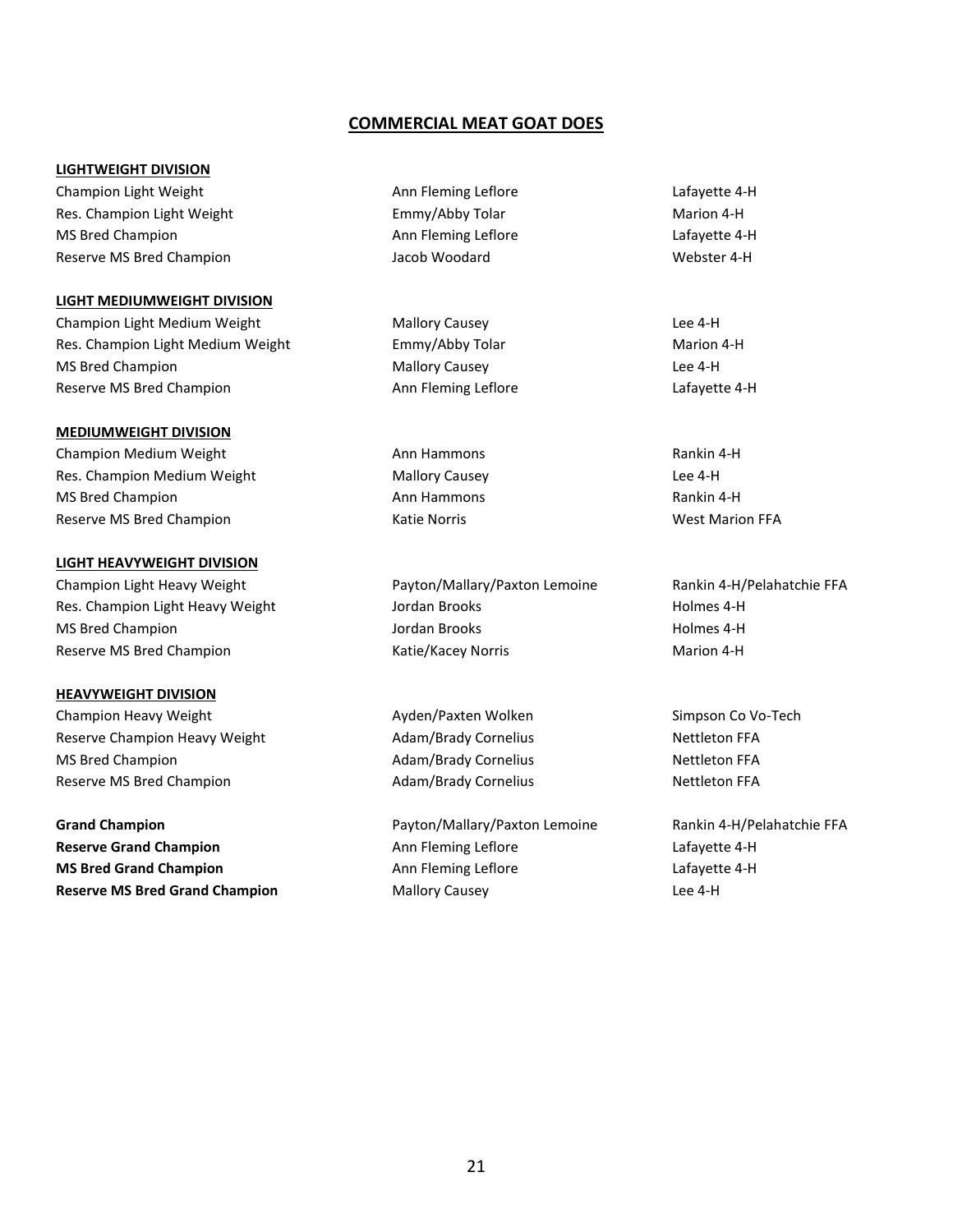#### **COMMERCIAL MEAT GOAT DOES**

#### **LIGHTWEIGHT DIVISION**

Champion Light Weight **Ann Fleming Leflore** Lafayette 4-H Res. Champion Light Weight Emmy/Abby Tolar Marion 4-H MS Bred Champion **Ann Fleming Leflore** Announced Lafayette 4-H Reserve MS Bred Champion The Music Champion Jacob Woodard The Webster 4-H

#### **LIGHT MEDIUMWEIGHT DIVISION**

Champion Light Medium Weight Mallory Causey Lee 4-H Res. Champion Light Medium Weight **Emmy/Abby Tolar** Emmy Tolar Marion 4-H MS Bred Champion **Mallory Causey** Champion **Mallory Causey** Champion **Lee 4-H** Reserve MS Bred Champion The Champion Ann Fleming Leflore Champion Announce Lafayette 4-H

#### **MEDIUMWEIGHT DIVISION**

Champion Medium Weight **Ann Hammons** Ann Hammons Rankin 4-H Res. Champion Medium Weight Mallory Causey Causey Champion Medium Weight Mallory Causey MS Bred Champion **Ann Hammons** Ann Hammons Rankin 4-H Reserve MS Bred Champion The Champion Cassic Marion Katie Norris Theorem Champion Champion Katie Norris North Marion FFA

#### **LIGHT HEAVYWEIGHT DIVISION**

Champion Light Heavy Weight **Payton/Mallary/Paxton Lemoine** Rankin 4-H/Pelahatchie FFA Res. Champion Light Heavy Weight **Holmes 4-H** Jordan Brooks **Holmes 4-H** Holmes 4-H MS Bred Champion **MS Bred Champion Holmes 4-H** Reserve MS Bred Champion The Champion Cassic Marion 4-H

#### **HEAVYWEIGHT DIVISION**

Champion Heavy Weight **Ayden/Paxten Wolken** Simpson Co Vo-Tech Reserve Champion Heavy Weight **Adam/Brady Cornelius** Adam/Brady Cornelius Nettleton FFA MS Bred Champion **Adam/Brady Cornelius** Adam/Brady Cornelius Nettleton FFA Reserve MS Bred Champion The Champion Adam/Brady Cornelius Nettleton FFA

**Grand Champion Payton/Mallary/Paxton Lemoine** Rankin 4-H/Pelahatchie FFA **Reserve Grand Champion Ann Fleming Leflore** Announce Lafayette 4-H **MS Bred Grand Champion Ann Fleming Leflore** Announced Lafayette 4-H **Reserve MS Bred Grand Champion** Mallory Causey **Mallory Causey Lee 4-H**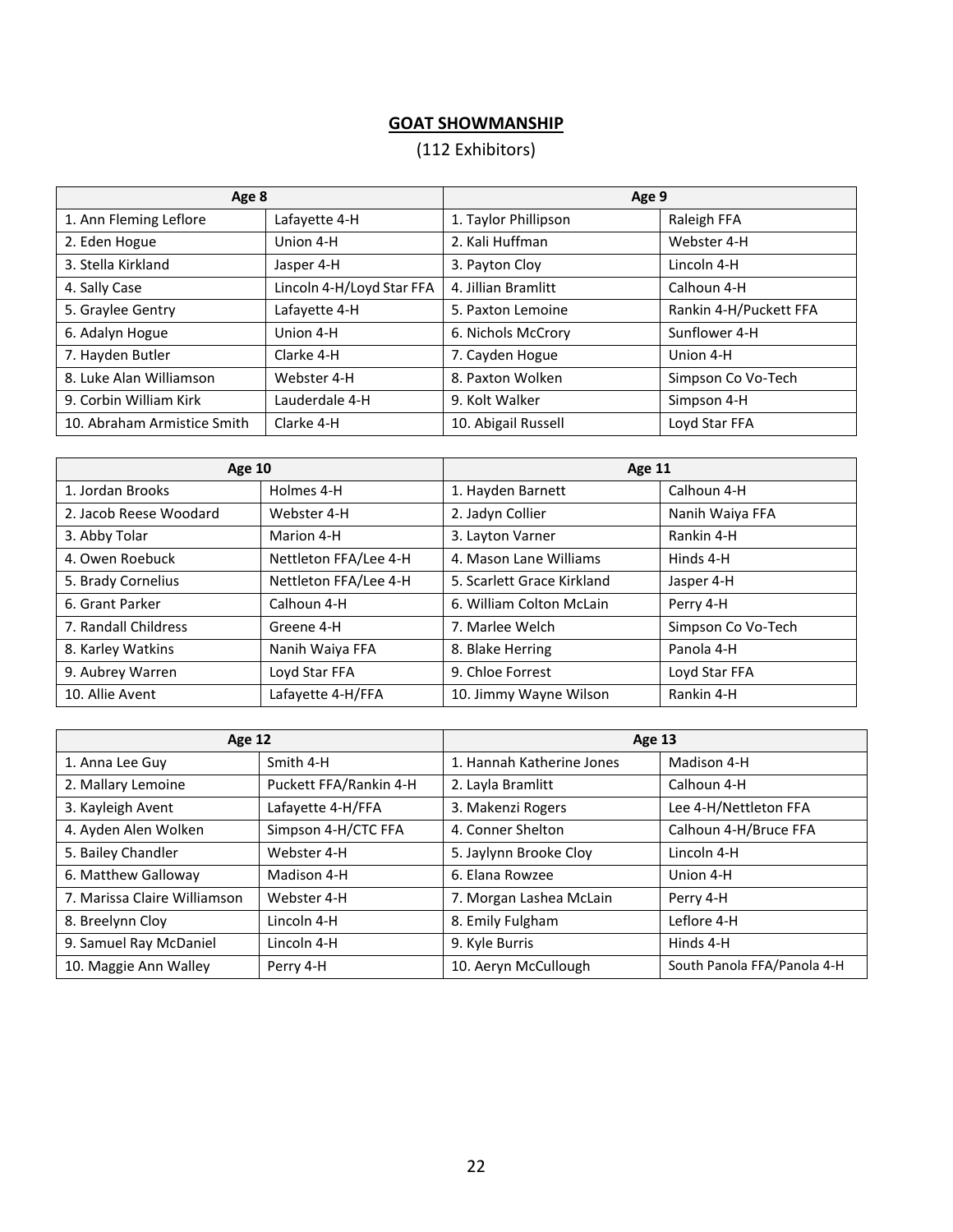# **GOAT SHOWMANSHIP**

# (112 Exhibitors)

| Age 8                       |                           | Age 9                |                        |
|-----------------------------|---------------------------|----------------------|------------------------|
| 1. Ann Fleming Leflore      | Lafayette 4-H             | 1. Taylor Phillipson | Raleigh FFA            |
| 2. Eden Hogue               | Union 4-H                 | 2. Kali Huffman      | Webster 4-H            |
| 3. Stella Kirkland          | Jasper 4-H                | 3. Payton Cloy       | Lincoln 4-H            |
| 4. Sally Case               | Lincoln 4-H/Loyd Star FFA | 4. Jillian Bramlitt  | Calhoun 4-H            |
| 5. Graylee Gentry           | Lafayette 4-H             | 5. Paxton Lemoine    | Rankin 4-H/Puckett FFA |
| 6. Adalyn Hogue             | Union 4-H                 | 6. Nichols McCrory   | Sunflower 4-H          |
| 7. Hayden Butler            | Clarke 4-H                | 7. Cayden Hogue      | Union 4-H              |
| 8. Luke Alan Williamson     | Webster 4-H               | 8. Paxton Wolken     | Simpson Co Vo-Tech     |
| 9. Corbin William Kirk      | Lauderdale 4-H            | 9. Kolt Walker       | Simpson 4-H            |
| 10. Abraham Armistice Smith | Clarke 4-H                | 10. Abigail Russell  | Loyd Star FFA          |

| <b>Age 10</b>          |                       | <b>Age 11</b>              |                    |
|------------------------|-----------------------|----------------------------|--------------------|
| 1. Jordan Brooks       | Holmes 4-H            | 1. Hayden Barnett          | Calhoun 4-H        |
| 2. Jacob Reese Woodard | Webster 4-H           | 2. Jadyn Collier           | Nanih Waiya FFA    |
| 3. Abby Tolar          | Marion 4-H            | 3. Layton Varner           | Rankin 4-H         |
| 4. Owen Roebuck        | Nettleton FFA/Lee 4-H | 4. Mason Lane Williams     | Hinds 4-H          |
| 5. Brady Cornelius     | Nettleton FFA/Lee 4-H | 5. Scarlett Grace Kirkland | Jasper 4-H         |
| 6. Grant Parker        | Calhoun 4-H           | 6. William Colton McLain   | Perry 4-H          |
| 7. Randall Childress   | Greene 4-H            | 7. Marlee Welch            | Simpson Co Vo-Tech |
| 8. Karley Watkins      | Nanih Waiya FFA       | 8. Blake Herring           | Panola 4-H         |
| 9. Aubrey Warren       | Loyd Star FFA         | 9. Chloe Forrest           | Loyd Star FFA      |
| 10. Allie Avent        | Lafayette 4-H/FFA     | 10. Jimmy Wayne Wilson     | Rankin 4-H         |

| Age 12                       |                        | <b>Age 13</b>             |                             |
|------------------------------|------------------------|---------------------------|-----------------------------|
| 1. Anna Lee Guy              | Smith 4-H              | 1. Hannah Katherine Jones | Madison 4-H                 |
| 2. Mallary Lemoine           | Puckett FFA/Rankin 4-H | 2. Layla Bramlitt         | Calhoun 4-H                 |
| 3. Kayleigh Avent            | Lafayette 4-H/FFA      | 3. Makenzi Rogers         | Lee 4-H/Nettleton FFA       |
| 4. Ayden Alen Wolken         | Simpson 4-H/CTC FFA    | 4. Conner Shelton         | Calhoun 4-H/Bruce FFA       |
| 5. Bailey Chandler           | Webster 4-H            | 5. Jaylynn Brooke Cloy    | Lincoln 4-H                 |
| 6. Matthew Galloway          | Madison 4-H            | 6. Elana Rowzee           | Union 4-H                   |
| 7. Marissa Claire Williamson | Webster 4-H            | 7. Morgan Lashea McLain   | Perry 4-H                   |
| 8. Breelynn Cloy             | Lincoln 4-H            | 8. Emily Fulgham          | Leflore 4-H                 |
| 9. Samuel Ray McDaniel       | Lincoln 4-H            | 9. Kyle Burris            | Hinds 4-H                   |
| 10. Maggie Ann Walley        | Perry 4-H              | 10. Aeryn McCullough      | South Panola FFA/Panola 4-H |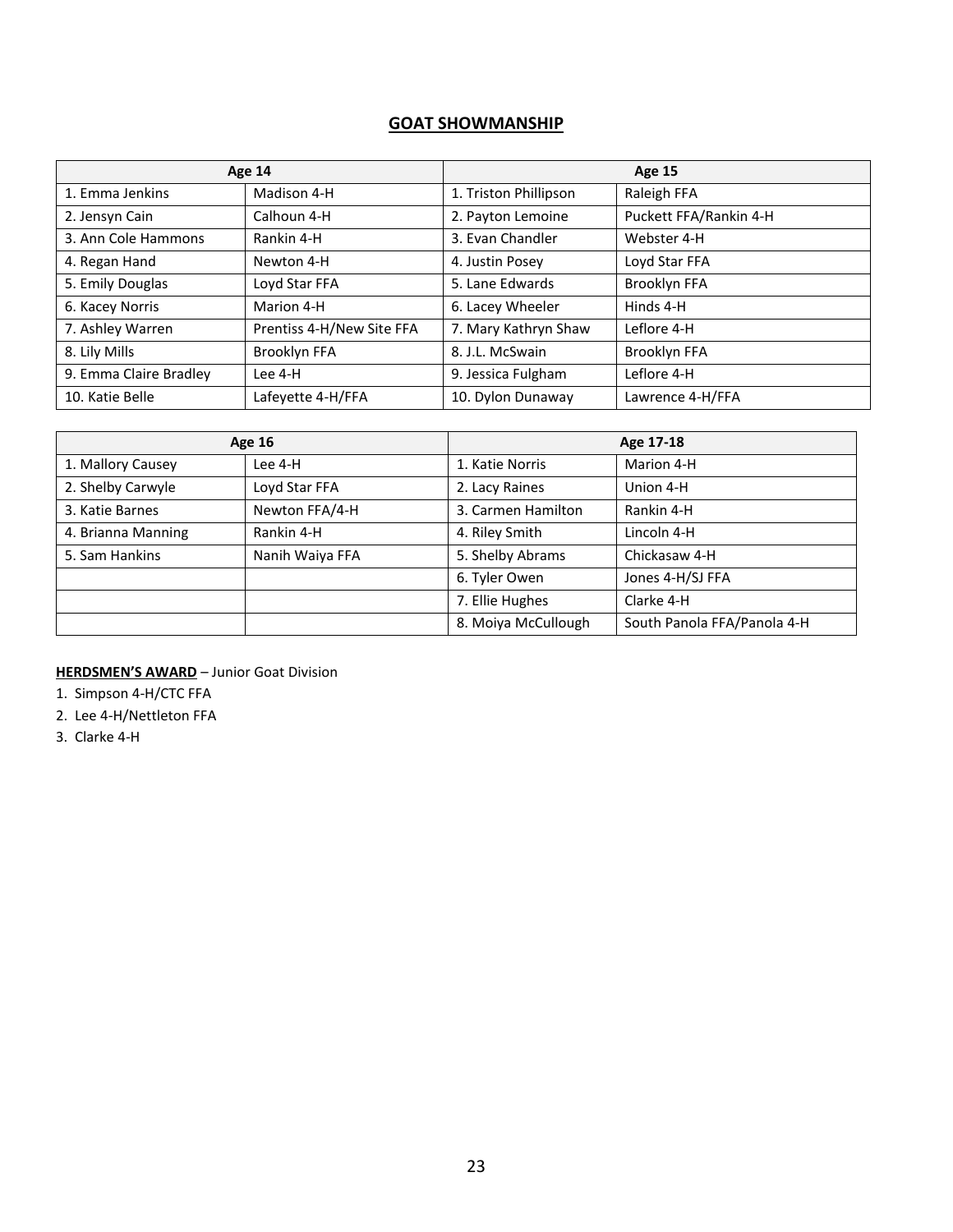# **GOAT SHOWMANSHIP**

| Age 14                 |                           | <b>Age 15</b>         |                        |
|------------------------|---------------------------|-----------------------|------------------------|
| 1. Emma Jenkins        | Madison 4-H               | 1. Triston Phillipson | Raleigh FFA            |
| 2. Jensyn Cain         | Calhoun 4-H               | 2. Payton Lemoine     | Puckett FFA/Rankin 4-H |
| 3. Ann Cole Hammons    | Rankin 4-H                | 3. Evan Chandler      | Webster 4-H            |
| 4. Regan Hand          | Newton 4-H                | 4. Justin Posey       | Loyd Star FFA          |
| 5. Emily Douglas       | Loyd Star FFA             | 5. Lane Edwards       | Brooklyn FFA           |
| 6. Kacey Norris        | Marion 4-H                | 6. Lacey Wheeler      | Hinds 4-H              |
| 7. Ashley Warren       | Prentiss 4-H/New Site FFA | 7. Mary Kathryn Shaw  | Leflore 4-H            |
| 8. Lily Mills          | Brooklyn FFA              | 8. J.L. McSwain       | Brooklyn FFA           |
| 9. Emma Claire Bradley | Lee 4-H                   | 9. Jessica Fulgham    | Leflore 4-H            |
| 10. Katie Belle        | Lafeyette 4-H/FFA         | 10. Dylon Dunaway     | Lawrence 4-H/FFA       |

|                    | <b>Age 16</b>   |                     | Age 17-18                   |
|--------------------|-----------------|---------------------|-----------------------------|
| 1. Mallory Causey  | Lee 4-H         | 1. Katie Norris     | Marion 4-H                  |
| 2. Shelby Carwyle  | Loyd Star FFA   | 2. Lacy Raines      | Union 4-H                   |
| 3. Katie Barnes    | Newton FFA/4-H  | 3. Carmen Hamilton  | Rankin 4-H                  |
| 4. Brianna Manning | Rankin 4-H      | 4. Riley Smith      | Lincoln 4-H                 |
| 5. Sam Hankins     | Nanih Waiya FFA | 5. Shelby Abrams    | Chickasaw 4-H               |
|                    |                 | 6. Tyler Owen       | Jones 4-H/SJ FFA            |
|                    |                 | 7. Ellie Hughes     | Clarke 4-H                  |
|                    |                 | 8. Moiya McCullough | South Panola FFA/Panola 4-H |

**HERDSMEN'S AWARD** – Junior Goat Division

1. Simpson 4-H/CTC FFA

- 2. Lee 4-H/Nettleton FFA
- 3. Clarke 4-H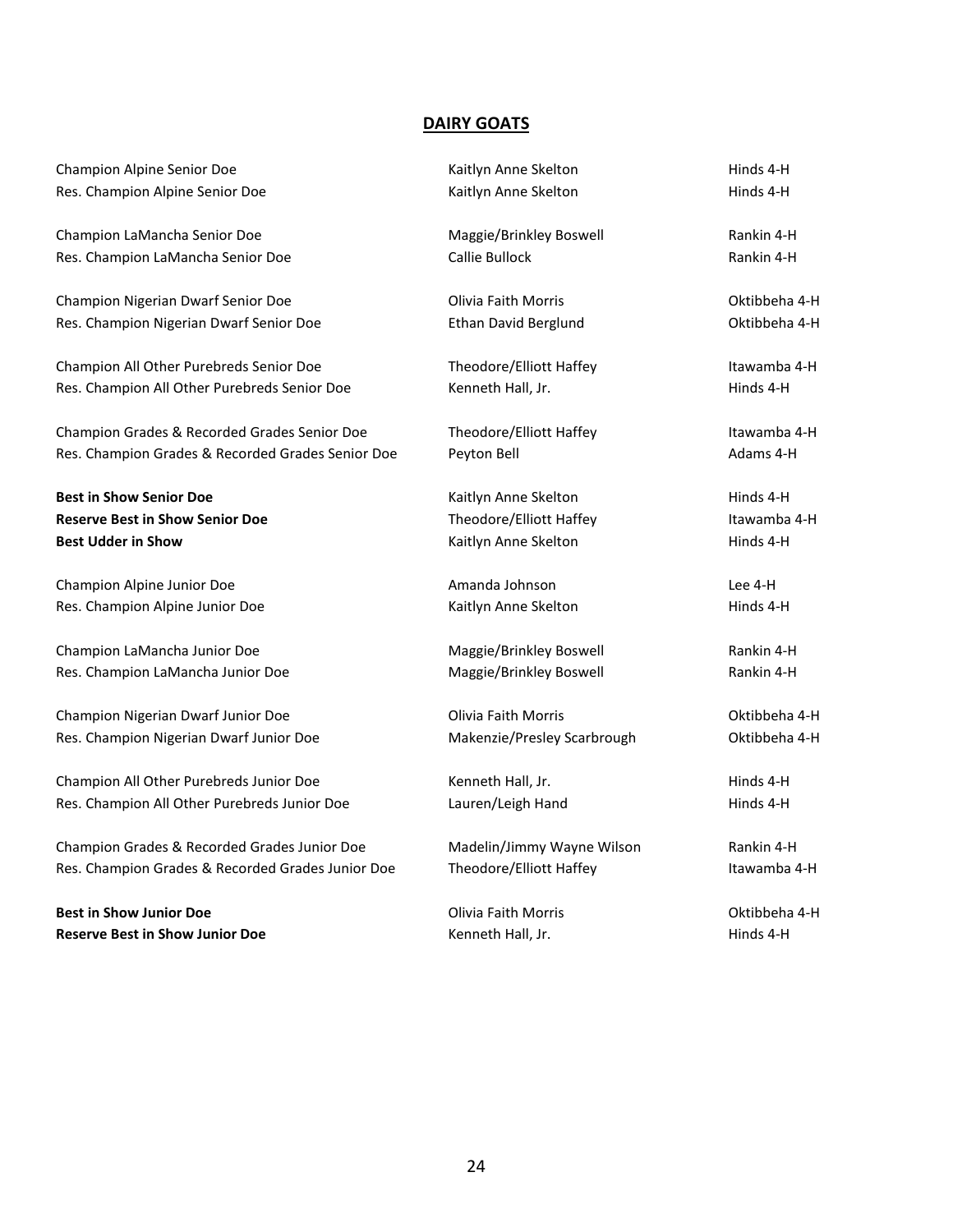#### **DAIRY GOATS**

| Champion Alpine Senior Doe                        | Kaitlyn Anne Skelton        | Hinds 4-H     |
|---------------------------------------------------|-----------------------------|---------------|
| Res. Champion Alpine Senior Doe                   | Kaitlyn Anne Skelton        | Hinds 4-H     |
| Champion LaMancha Senior Doe                      | Maggie/Brinkley Boswell     | Rankin 4-H    |
| Res. Champion LaMancha Senior Doe                 | Callie Bullock              | Rankin 4-H    |
| Champion Nigerian Dwarf Senior Doe                | Olivia Faith Morris         | Oktibbeha 4-H |
| Res. Champion Nigerian Dwarf Senior Doe           | <b>Ethan David Berglund</b> | Oktibbeha 4-H |
| Champion All Other Purebreds Senior Doe           | Theodore/Elliott Haffey     | Itawamba 4-H  |
| Res. Champion All Other Purebreds Senior Doe      | Kenneth Hall, Jr.           | Hinds 4-H     |
| Champion Grades & Recorded Grades Senior Doe      | Theodore/Elliott Haffey     | Itawamba 4-H  |
| Res. Champion Grades & Recorded Grades Senior Doe | Peyton Bell                 | Adams 4-H     |
| <b>Best in Show Senior Doe</b>                    | Kaitlyn Anne Skelton        | Hinds 4-H     |
| <b>Reserve Best in Show Senior Doe</b>            | Theodore/Elliott Haffey     | Itawamba 4-H  |
| <b>Best Udder in Show</b>                         | Kaitlyn Anne Skelton        | Hinds 4-H     |
| Champion Alpine Junior Doe                        | Amanda Johnson              | Lee 4-H       |
| Res. Champion Alpine Junior Doe                   | Kaitlyn Anne Skelton        | Hinds 4-H     |
| Champion LaMancha Junior Doe                      | Maggie/Brinkley Boswell     | Rankin 4-H    |
| Res. Champion LaMancha Junior Doe                 | Maggie/Brinkley Boswell     | Rankin 4-H    |
| Champion Nigerian Dwarf Junior Doe                | Olivia Faith Morris         | Oktibbeha 4-H |
| Res. Champion Nigerian Dwarf Junior Doe           | Makenzie/Presley Scarbrough | Oktibbeha 4-H |
| Champion All Other Purebreds Junior Doe           | Kenneth Hall, Jr.           | Hinds 4-H     |
| Res. Champion All Other Purebreds Junior Doe      | Lauren/Leigh Hand           | Hinds 4-H     |

Champion Grades & Recorded Grades Junior Doe Madelin/Jimmy Wayne Wilson Rankin 4-H Res. Champion Grades & Recorded Grades Junior Doe Theodore/Elliott Haffey Theore itawamba 4-H

**Best in Show Junior Doe Channel Communist Controllering Communist Communist Communist Communist Communist Communist Communist Communist Communist Communist Communist Communist Communist Communist Communist Communist Com Reserve Best in Show Junior Doe** Kenneth Hall, Jr. Kenneth Hall, Jr. Hinds 4-H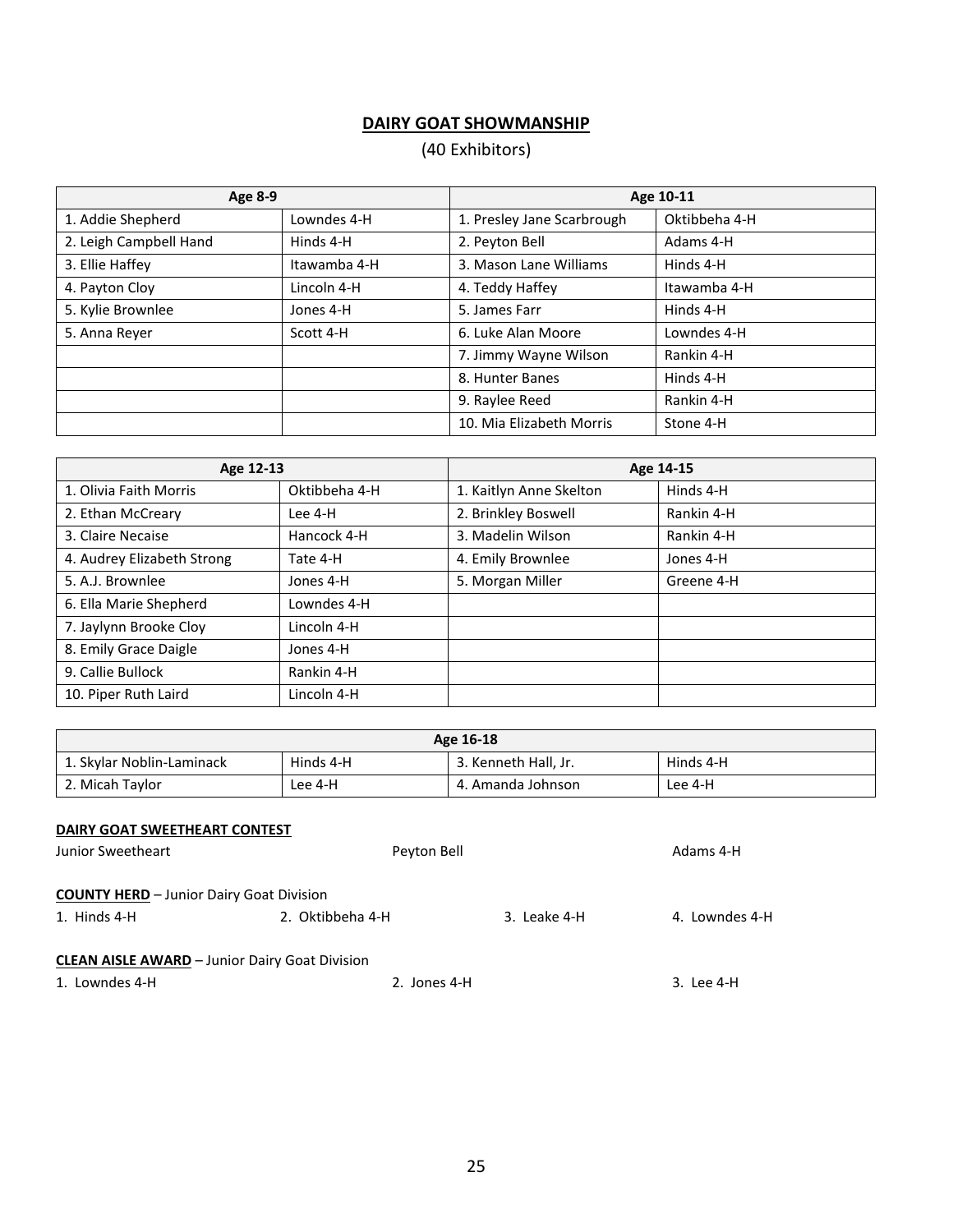# **DAIRY GOAT SHOWMANSHIP**

# (40 Exhibitors)

| Age 8-9                |              | Age 10-11                  |               |
|------------------------|--------------|----------------------------|---------------|
| 1. Addie Shepherd      | Lowndes 4-H  | 1. Presley Jane Scarbrough | Oktibbeha 4-H |
| 2. Leigh Campbell Hand | Hinds 4-H    | 2. Peyton Bell             | Adams 4-H     |
| 3. Ellie Haffey        | Itawamba 4-H | 3. Mason Lane Williams     | Hinds 4-H     |
| 4. Payton Cloy         | Lincoln 4-H  | 4. Teddy Haffey            | Itawamba 4-H  |
| 5. Kylie Brownlee      | Jones 4-H    | 5. James Farr              | Hinds 4-H     |
| 5. Anna Reyer          | Scott 4-H    | 6. Luke Alan Moore         | Lowndes 4-H   |
|                        |              | 7. Jimmy Wayne Wilson      | Rankin 4-H    |
|                        |              | 8. Hunter Banes            | Hinds 4-H     |
|                        |              | 9. Raylee Reed             | Rankin 4-H    |
|                        |              | 10. Mia Elizabeth Morris   | Stone 4-H     |

| Age 12-13                  |               | Age 14-15               |            |
|----------------------------|---------------|-------------------------|------------|
| 1. Olivia Faith Morris     | Oktibbeha 4-H | 1. Kaitlyn Anne Skelton | Hinds 4-H  |
| 2. Ethan McCreary          | Lee 4-H       | 2. Brinkley Boswell     | Rankin 4-H |
| 3. Claire Necaise          | Hancock 4-H   | 3. Madelin Wilson       | Rankin 4-H |
| 4. Audrey Elizabeth Strong | Tate 4-H      | 4. Emily Brownlee       | Jones 4-H  |
| 5. A.J. Brownlee           | Jones 4-H     | 5. Morgan Miller        | Greene 4-H |
| 6. Ella Marie Shepherd     | Lowndes 4-H   |                         |            |
| 7. Jaylynn Brooke Cloy     | Lincoln 4-H   |                         |            |
| 8. Emily Grace Daigle      | Jones 4-H     |                         |            |
| 9. Callie Bullock          | Rankin 4-H    |                         |            |
| 10. Piper Ruth Laird       | Lincoln 4-H   |                         |            |

| Age 16-18                 |           |                      |           |
|---------------------------|-----------|----------------------|-----------|
| 1. Skylar Noblin-Laminack | Hinds 4-H | 3. Kenneth Hall, Jr. | Hinds 4-H |
| 2. Micah Taylor           | Lee 4-H   | 4. Amanda Johnson    | Lee 4-H   |

## **DAIRY GOAT SWEETHEART CONTEST**

| Junior Sweetheart                                     | Peyton Bell      |              | Adams 4-H      |
|-------------------------------------------------------|------------------|--------------|----------------|
| <b>COUNTY HERD</b> - Junior Dairy Goat Division       |                  |              |                |
| 1. Hinds 4-H                                          | 2. Oktibbeha 4-H | 3. Leake 4-H | 4. Lowndes 4-H |
| <b>CLEAN AISLE AWARD</b> - Junior Dairy Goat Division |                  |              |                |
| 1. Lowndes 4-H                                        | 2. Jones 4-H     |              | 3. Lee 4-H     |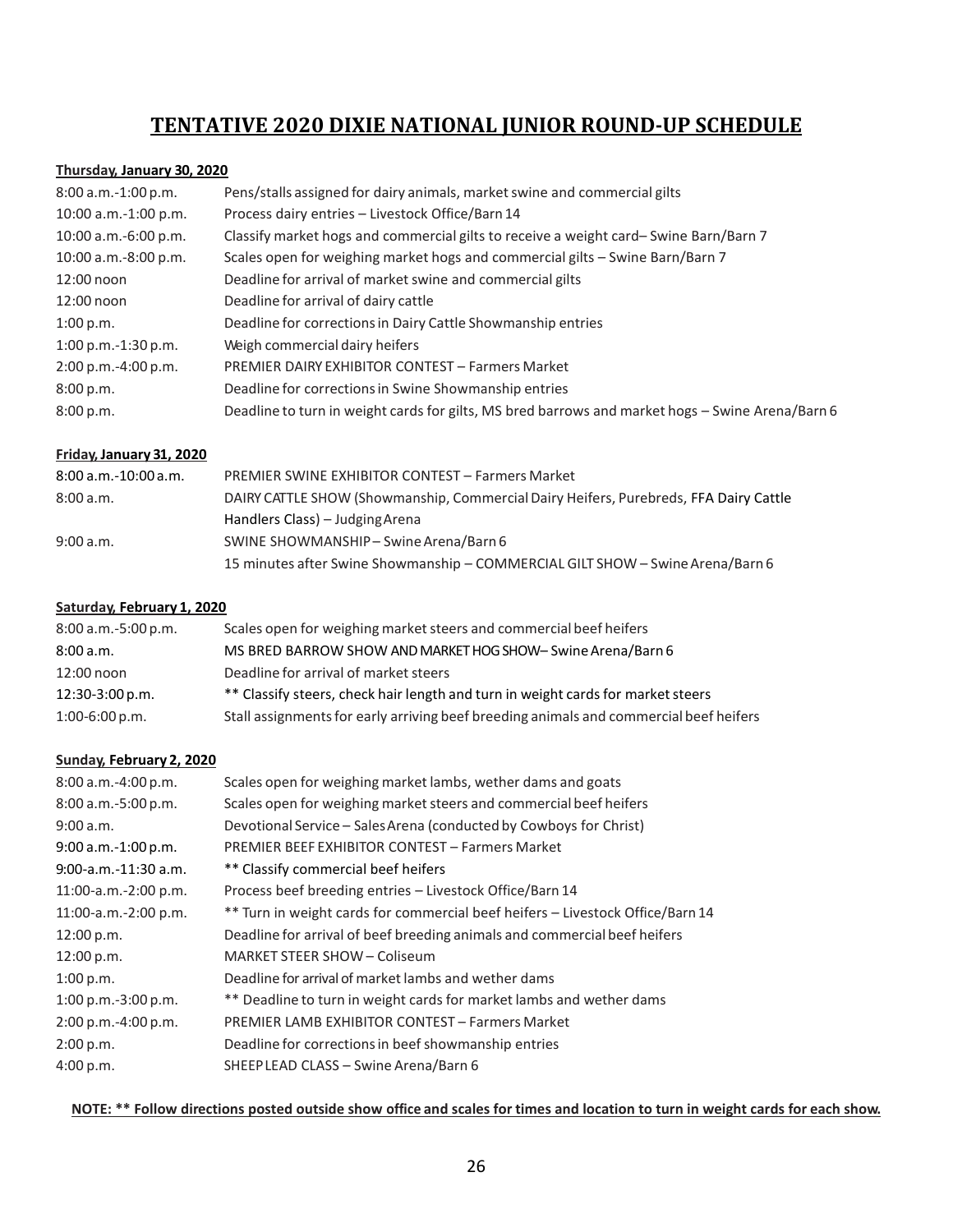# **TENTATIVE 2020 DIXIE NATIONAL JUNIOR ROUND-UP SCHEDULE**

#### **Thursday, January 30, 2020**

| $8:00$ a.m.-1:00 p.m.  | Pens/stalls assigned for dairy animals, market swine and commercial gilts                        |
|------------------------|--------------------------------------------------------------------------------------------------|
| 10:00 a.m.-1:00 p.m.   | Process dairy entries - Livestock Office/Barn 14                                                 |
| $10:00$ a.m.-6:00 p.m. | Classify market hogs and commercial gilts to receive a weight card-Swine Barn/Barn 7             |
| 10:00 a.m.-8:00 p.m.   | Scales open for weighing market hogs and commercial gilts – Swine Barn/Barn 7                    |
| 12:00 noon             | Deadline for arrival of market swine and commercial gilts                                        |
| 12:00 noon             | Deadline for arrival of dairy cattle                                                             |
| 1:00 p.m.              | Deadline for corrections in Dairy Cattle Showmanship entries                                     |
| $1:00$ p.m.-1:30 p.m.  | Weigh commercial dairy heifers                                                                   |
| $2:00 p.m.-4:00 p.m.$  | <b>PREMIER DAIRY EXHIBITOR CONTEST - Farmers Market</b>                                          |
| 8:00 p.m.              | Deadline for corrections in Swine Showmanship entries                                            |
| 8:00 p.m.              | Deadline to turn in weight cards for gilts, MS bred barrows and market hogs - Swine Arena/Barn 6 |

#### **Friday, January 31, 2020**

| $8:00$ a.m.-10:00 a.m. | <b>PREMIER SWINE EXHIBITOR CONTEST - Farmers Market</b>                               |
|------------------------|---------------------------------------------------------------------------------------|
| 8:00a.m.               | DAIRY CATTLE SHOW (Showmanship, Commercial Dairy Heifers, Purebreds, FFA Dairy Cattle |
|                        | Handlers Class) – Judging Arena                                                       |
| 9:00 a.m.              | SWINE SHOWMANSHIP-Swine Arena/Barn 6                                                  |
|                        | 15 minutes after Swine Showmanship - COMMERCIAL GILT SHOW - Swine Arena/Barn 6        |

#### **Saturday, February 1, 2020**

| $8:00$ a.m.-5:00 p.m. | Scales open for weighing market steers and commercial beef heifers                     |
|-----------------------|----------------------------------------------------------------------------------------|
| 8:00 a.m.             | MS BRED BARROW SHOW AND MARKET HOG SHOW- Swine Arena/Barn 6                            |
| 12:00 noon            | Deadline for arrival of market steers                                                  |
| 12:30-3:00 p.m.       | ** Classify steers, check hair length and turn in weight cards for market steers       |
| $1:00-6:00 p.m.$      | Stall assignments for early arriving beef breeding animals and commercial beef heifers |

#### **Sunday, February 2, 2020**

| Scales open for weighing market lambs, wether dams and goats                   |
|--------------------------------------------------------------------------------|
| Scales open for weighing market steers and commercial beef heifers             |
| Devotional Service - Sales Arena (conducted by Cowboys for Christ)             |
| <b>PREMIER BEEF EXHIBITOR CONTEST - Farmers Market</b>                         |
| ** Classify commercial beef heifers                                            |
| Process beef breeding entries - Livestock Office/Barn 14                       |
| ** Turn in weight cards for commercial beef heifers – Livestock Office/Barn 14 |
| Deadline for arrival of beef breeding animals and commercial beef heifers      |
| MARKET STEER SHOW - Coliseum                                                   |
| Deadline for arrival of market lambs and wether dams                           |
| ** Deadline to turn in weight cards for market lambs and wether dams           |
| <b>PREMIER LAMB EXHIBITOR CONTEST - Farmers Market</b>                         |
| Deadline for corrections in beef showmanship entries                           |
| SHEEP LEAD CLASS - Swine Arena/Barn 6                                          |
|                                                                                |

**NOTE: \*\* Follow directions posted outside show office and scales for times and location to turn in weight cards for each show.**